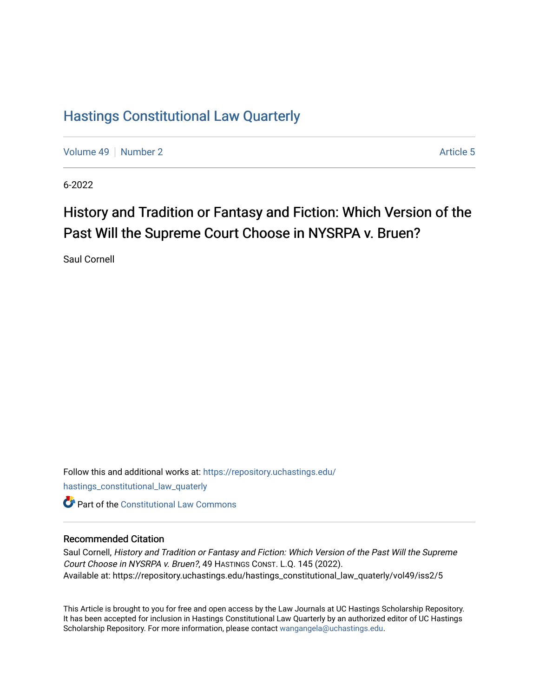### [Hastings Constitutional Law Quarterly](https://repository.uchastings.edu/hastings_constitutional_law_quaterly)

[Volume 49](https://repository.uchastings.edu/hastings_constitutional_law_quaterly/vol49) [Number 2](https://repository.uchastings.edu/hastings_constitutional_law_quaterly/vol49/iss2) Article 5

6-2022

# History and Tradition or Fantasy and Fiction: Which Version of the Past Will the Supreme Court Choose in NYSRPA v. Bruen?

Saul Cornell

Follow this and additional works at: [https://repository.uchastings.edu/](https://repository.uchastings.edu/hastings_constitutional_law_quaterly?utm_source=repository.uchastings.edu%2Fhastings_constitutional_law_quaterly%2Fvol49%2Fiss2%2F5&utm_medium=PDF&utm_campaign=PDFCoverPages) [hastings\\_constitutional\\_law\\_quaterly](https://repository.uchastings.edu/hastings_constitutional_law_quaterly?utm_source=repository.uchastings.edu%2Fhastings_constitutional_law_quaterly%2Fvol49%2Fiss2%2F5&utm_medium=PDF&utm_campaign=PDFCoverPages)  **C** Part of the Constitutional Law Commons

#### Recommended Citation

Saul Cornell, History and Tradition or Fantasy and Fiction: Which Version of the Past Will the Supreme Court Choose in NYSRPA v. Bruen?, 49 HASTINGS CONST. L.Q. 145 (2022). Available at: https://repository.uchastings.edu/hastings\_constitutional\_law\_quaterly/vol49/iss2/5

This Article is brought to you for free and open access by the Law Journals at UC Hastings Scholarship Repository. It has been accepted for inclusion in Hastings Constitutional Law Quarterly by an authorized editor of UC Hastings Scholarship Repository. For more information, please contact [wangangela@uchastings.edu.](mailto:wangangela@uchastings.edu)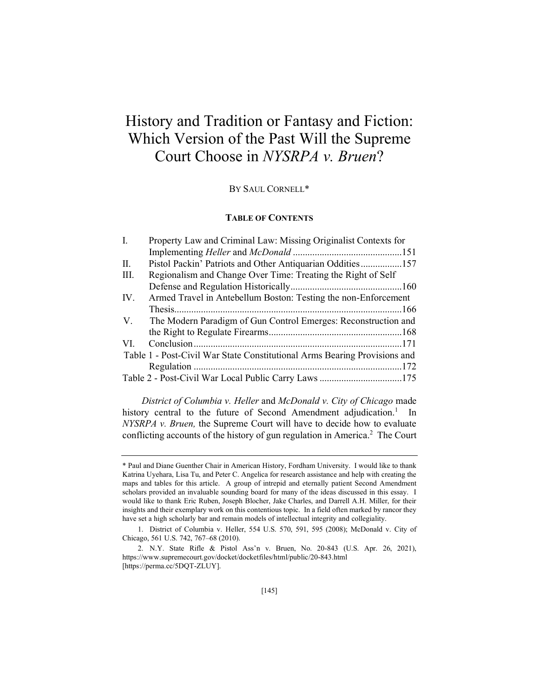## History and Tradition or Fantasy and Fiction: Which Version of the Past Will the Supreme Court Choose in *NYSRPA v. Bruen*?

#### BY SAUL CORNELL\*

#### **TABLE OF CONTENTS**

| I.          | Property Law and Criminal Law: Missing Originalist Contexts for           |  |
|-------------|---------------------------------------------------------------------------|--|
|             |                                                                           |  |
| П.          | Pistol Packin' Patriots and Other Antiquarian Oddities157                 |  |
| Ш.          | Regionalism and Change Over Time: Treating the Right of Self              |  |
|             |                                                                           |  |
| IV.         | Armed Travel in Antebellum Boston: Testing the non-Enforcement            |  |
|             |                                                                           |  |
| $V_{\cdot}$ | The Modern Paradigm of Gun Control Emerges: Reconstruction and            |  |
|             |                                                                           |  |
| VI.         |                                                                           |  |
|             | Table 1 - Post-Civil War State Constitutional Arms Bearing Provisions and |  |
|             |                                                                           |  |
|             | Table 2 - Post-Civil War Local Public Carry Laws 175                      |  |

*District of Columbia v. Heller* and *McDonald v. City of Chicago* made history central to the future of Second Amendment adjudication.<sup>1</sup> In *NYSRPA v. Bruen,* the Supreme Court will have to decide how to evaluate conflicting accounts of the history of gun regulation in America.<sup>2</sup> The Court

<sup>\*</sup> Paul and Diane Guenther Chair in American History, Fordham University. I would like to thank Katrina Uyehara, Lisa Tu, and Peter C. Angelica for research assistance and help with creating the maps and tables for this article. A group of intrepid and eternally patient Second Amendment scholars provided an invaluable sounding board for many of the ideas discussed in this essay. I would like to thank Eric Ruben, Joseph Blocher, Jake Charles, and Darrell A.H. Miller, for their insights and their exemplary work on this contentious topic. In a field often marked by rancor they have set a high scholarly bar and remain models of intellectual integrity and collegiality.

<sup>1.</sup> District of Columbia v. Heller, 554 U.S. 570, 591, 595 (2008); McDonald v. City of Chicago, 561 U.S. 742, 767-68 (2010).

<sup>2.</sup> N.Y. State Rifle & Pistol Ass'n v. Bruen, No. 20-843 (U.S. Apr. 26, 2021), https://www.supremecourt.gov/docket/docketfiles/html/public/20-843.html [https://perma.cc/5DQT-ZLUY].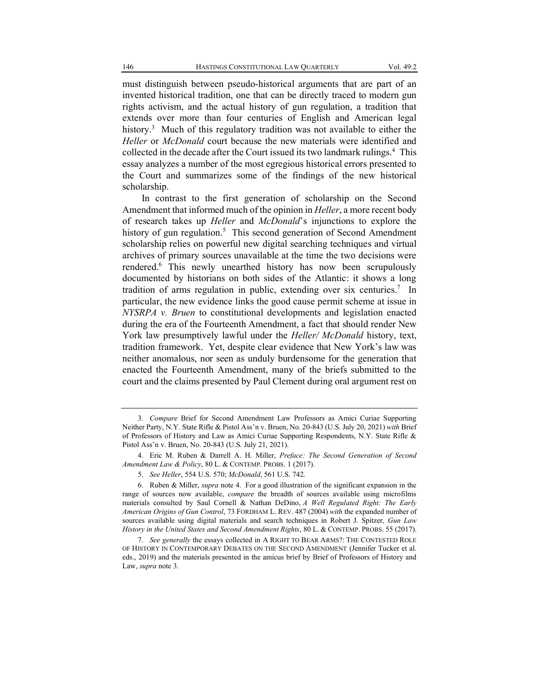must distinguish between pseudo-historical arguments that are part of an invented historical tradition, one that can be directly traced to modern gun rights activism, and the actual history of gun regulation, a tradition that extends over more than four centuries of English and American legal history.<sup>3</sup> Much of this regulatory tradition was not available to either the *Heller* or *McDonald* court because the new materials were identified and collected in the decade after the Court issued its two landmark rulings.<sup>4</sup> This essay analyzes a number of the most egregious historical errors presented to the Court and summarizes some of the findings of the new historical scholarship.

In contrast to the first generation of scholarship on the Second Amendment that informed much of the opinion in *Heller*, a more recent body of research takes up *Heller* and *McDonald*'s injunctions to explore the history of gun regulation.<sup>5</sup> This second generation of Second Amendment scholarship relies on powerful new digital searching techniques and virtual archives of primary sources unavailable at the time the two decisions were rendered.6 This newly unearthed history has now been scrupulously documented by historians on both sides of the Atlantic: it shows a long tradition of arms regulation in public, extending over six centuries.<sup>7</sup> In particular, the new evidence links the good cause permit scheme at issue in *NYSRPA v. Bruen* to constitutional developments and legislation enacted during the era of the Fourteenth Amendment, a fact that should render New York law presumptively lawful under the *Heller/ McDonald* history, text, tradition framework. Yet, despite clear evidence that New York's law was neither anomalous, nor seen as unduly burdensome for the generation that enacted the Fourteenth Amendment, many of the briefs submitted to the court and the claims presented by Paul Clement during oral argument rest on

<sup>3</sup>*. Compare* Brief for Second Amendment Law Professors as Amici Curiae Supporting Neither Party, N.Y. State Rifle & Pistol Ass'n v. Bruen, No. 20-843 (U.S. July 20, 2021) *with* Brief of Professors of History and Law as Amici Curiae Supporting Respondents, N.Y. State Rifle & Pistol Ass'n v. Bruen, No. 20-843 (U.S. July 21, 2021).

<sup>4.</sup> Eric M. Ruben & Darrell A. H. Miller, *Preface: The Second Generation of Second Amendment Law & Policy*, 80 L. & CONTEMP. PROBS. 1 (2017).

<sup>5.</sup> *See Heller*, 554 U.S. 570; *McDonald*, 561 U.S. 742.

<sup>6.</sup> Ruben & Miller, *supra* note 4. For a good illustration of the significant expansion in the range of sources now available, *compare* the breadth of sources available using microfilms materials consulted by Saul Cornell & Nathan DeDino, *A Well Regulated Right: The Early American Origins of Gun Control*, 73 FORDHAM L. REV. 487 (2004) *with* the expanded number of sources available using digital materials and search techniques in Robert J. Spitzer, *Gun Law History in the United States and Second Amendment Rights*, 80 L. & CONTEMP. PROBS. 55 (2017).

<sup>7.</sup> *See generally* the essays collected in A RIGHT TO BEAR ARMS?: THE CONTESTED ROLE OF HISTORY IN CONTEMPORARY DEBATES ON THE SECOND AMENDMENT (Jennifer Tucker et al. eds., 2019) and the materials presented in the amicus brief by Brief of Professors of History and Law, *supra* note 3.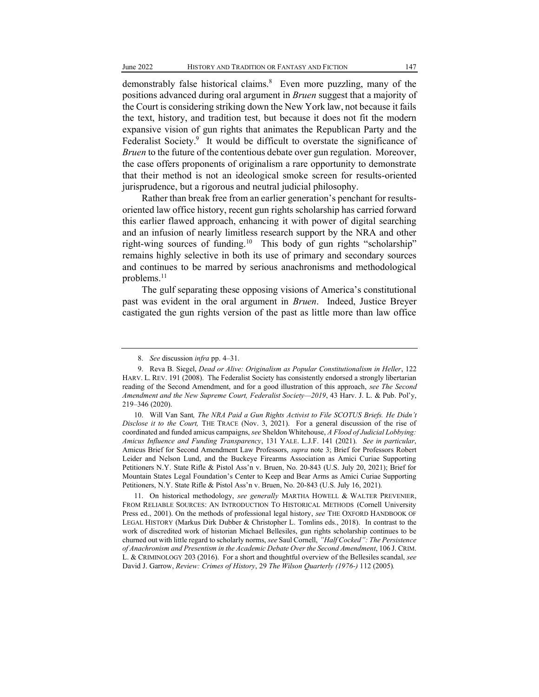demonstrably false historical claims.<sup>8</sup> Even more puzzling, many of the positions advanced during oral argument in *Bruen* suggest that a majority of the Court is considering striking down the New York law, not because it fails the text, history, and tradition test, but because it does not fit the modern expansive vision of gun rights that animates the Republican Party and the Federalist Society.<sup>9</sup> It would be difficult to overstate the significance of *Bruen* to the future of the contentious debate over gun regulation. Moreover, the case offers proponents of originalism a rare opportunity to demonstrate that their method is not an ideological smoke screen for results-oriented jurisprudence, but a rigorous and neutral judicial philosophy.

Rather than break free from an earlier generation's penchant for resultsoriented law office history, recent gun rights scholarship has carried forward this earlier flawed approach, enhancing it with power of digital searching and an infusion of nearly limitless research support by the NRA and other right-wing sources of funding.<sup>10</sup> This body of gun rights "scholarship" remains highly selective in both its use of primary and secondary sources and continues to be marred by serious anachronisms and methodological problems.<sup>11</sup>

The gulf separating these opposing visions of America's constitutional past was evident in the oral argument in *Bruen*. Indeed, Justice Breyer castigated the gun rights version of the past as little more than law office

<sup>8.</sup> See discussion *infra* pp. 4-31.

<sup>9.</sup> Reva B. Siegel, *Dead or Alive: Originalism as Popular Constitutionalism in Heller*, 122 HARV. L. REV. 191 (2008). The Federalist Society has consistently endorsed a strongly libertarian reading of the Second Amendment, and for a good illustration of this approach, *see The Second Amendment and the New Supreme Court, Federalist Society* $-2019$ , 43 Harv. J. L. & Pub. Pol'y, 219±346 (2020).

<sup>10.</sup> [Will Van Sant](https://www.thetrace.org/author/will-van-sant/), The NRA Paid a Gun Rights Activist to File SCOTUS Briefs. He Didn't *Disclose it to the Court,* THE TRACE (Nov. 3, 2021). For a general discussion of the rise of coordinated and funded amicus campaigns, *see* [Sheldon Whitehouse,](https://www.yalelawjournal.org/author/sheldon-whitehouse) *A Flood of Judicial Lobbying: Amicus Influence and Funding Transparency*, 131 YALE. L.J.F. 141 (2021). *See in particular*, Amicus Brief for Second Amendment Law Professors, *supra* note 3; Brief for Professors Robert Leider and Nelson Lund, and the Buckeye Firearms Association as Amici Curiae Supporting Petitioners N.Y. State Rifle & Pistol Ass'n v. Bruen, No. 20-843 (U.S. July 20, 2021); Brief for Mountain States Legal Foundation's Center to Keep and Bear Arms as Amici Curiae Supporting Petitioners, N.Y. State Rifle & Pistol Ass'[n v. Bruen, No. 20-843 \(U.S. July 16, 2021\).](http://www.supremecourt.gov/DocketPDF/20/20-843/184092/20210716114003059_2021.07.16%20NYSRPA%20v.%20Bruen.pdf)

<sup>11.</sup> On historical methodology, *see generally* MARTHA HOWELL & WALTER PREVENIER, FROM RELIABLE SOURCES: AN INTRODUCTION TO HISTORICAL METHODS (Cornell University Press ed., 2001). On the methods of professional legal history, *see* THE OXFORD HANDBOOK OF LEGAL HISTORY (Markus Dirk Dubber & Christopher L. Tomlins eds., 2018). In contrast to the work of discredited work of historian Michael Bellesiles, gun rights scholarship continues to be churned out with little regard to scholarly norms, *see* Saul Cornell, *´Half Cocked´: The Persistence of Anachronism and Presentism in the Academic Debate Over the Second Amendment*, 106 J. CRIM. L. & CRIMINOLOGY 203 (2016). For a short and thoughtful overview of the Bellesiles scandal, *see* David J. Garrow, *Review: Crimes of History*, 29 *The Wilson Quarterly (1976-)* 112 (2005)*.*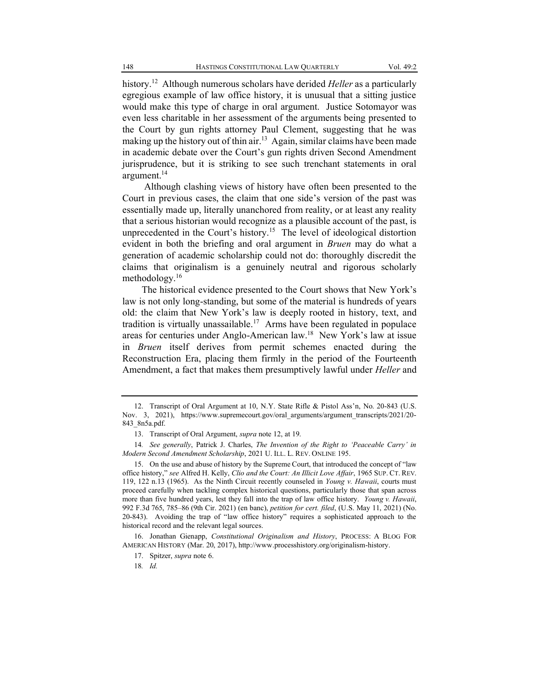history.12 Although numerous scholars have derided *Heller* as a particularly egregious example of law office history, it is unusual that a sitting justice would make this type of charge in oral argument. Justice Sotomayor was even less charitable in her assessment of the arguments being presented to the Court by gun rights attorney Paul Clement, suggesting that he was making up the history out of thin air.<sup>13</sup> Again, similar claims have been made in academic debate over the Court's gun rights driven Second Amendment jurisprudence, but it is striking to see such trenchant statements in oral argument.<sup>14</sup>

Although clashing views of history have often been presented to the Court in previous cases, the claim that one side's version of the past was essentially made up, literally unanchored from reality, or at least any reality that a serious historian would recognize as a plausible account of the past, is unprecedented in the Court's history.<sup>15</sup> The level of ideological distortion evident in both the briefing and oral argument in *Bruen* may do what a generation of academic scholarship could not do: thoroughly discredit the claims that originalism is a genuinely neutral and rigorous scholarly methodology.16

The historical evidence presented to the Court shows that New York's law is not only long-standing, but some of the material is hundreds of years old: the claim that New York's law is deeply rooted in history, text, and tradition is virtually unassailable.<sup>17</sup> Arms have been regulated in populace areas for centuries under Anglo-American law.<sup>18</sup> New York's law at issue in *Bruen* itself derives from permit schemes enacted during the Reconstruction Era, placing them firmly in the period of the Fourteenth Amendment, a fact that makes them presumptively lawful under *Heller* and

<sup>12.</sup> Transcript of Oral Argument at 10, N.Y. State Rifle & Pistol Ass'n, No. 20-843 (U.S. Nov. 3, 2021), https://www.supremecourt.gov/oral\_arguments/argument\_transcripts/2021/20- 843\_8n5a.pdf.

<sup>13.</sup> Transcript of Oral Argument, *supra* note 12, at 19.

<sup>14.</sup> See generally, Patrick J. Charles, *The Invention of the Right to 'Peaceable Carry' in Modern Second Amendment Scholarship*, 2021 U. ILL. L. REV. ONLINE 195.

<sup>15.</sup> On the use and abuse of history by the Supreme Court, that introduced the concept of "law office history,´ *see* Alfred H. Kelly, *Clio and the Court: An Illicit Love Affair*, 1965 SUP. CT. REV. 119, 122 n.13 (1965). As the Ninth Circuit recently counseled in *Young v. Hawaii*, courts must proceed carefully when tackling complex historical questions, particularly those that span across more than five hundred years, lest they fall into the trap of law office history. *Young v. Hawaii*, 992 F.3d 765, 785±86 (9th Cir. 2021) (en banc), *petition for cert. filed*, (U.S. May 11, 2021) (No. 20-843). Avoiding the trap of "law office history" requires a sophisticated approach to the historical record and the relevant legal sources.

<sup>16.</sup> Jonathan Gienapp, *Constitutional Originalism and History*, PROCESS: A BLOG FOR AMERICAN HISTORY (Mar. 20, 2017), http://www.processhistory.org/originalism-history.

<sup>17.</sup> Spitzer, *supra* note 6.

<sup>18</sup>*. Id.*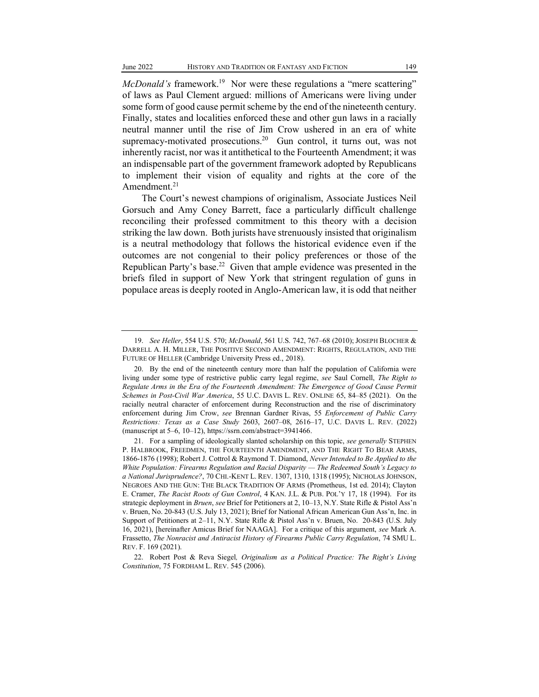*McDonald's* framework.<sup>19</sup> Nor were these regulations a "mere scattering" of laws as Paul Clement argued: millions of Americans were living under some form of good cause permit scheme by the end of the nineteenth century. Finally, states and localities enforced these and other gun laws in a racially neutral manner until the rise of Jim Crow ushered in an era of white supremacy-motivated prosecutions.<sup>20</sup> Gun control, it turns out, was not inherently racist, nor was it antithetical to the Fourteenth Amendment; it was an indispensable part of the government framework adopted by Republicans to implement their vision of equality and rights at the core of the Amendment. $21$ 

The Court's newest champions of originalism, Associate Justices Neil Gorsuch and Amy Coney Barrett, face a particularly difficult challenge reconciling their professed commitment to this theory with a decision striking the law down. Both jurists have strenuously insisted that originalism is a neutral methodology that follows the historical evidence even if the outcomes are not congenial to their policy preferences or those of the Republican Party's base.<sup>22</sup> Given that ample evidence was presented in the briefs filed in support of New York that stringent regulation of guns in populace areas is deeply rooted in Anglo-American law, it is odd that neither

<sup>19.</sup> *See Heller*, 554 U.S. 570; *McDonald*, 561 U.S. 742, 767-68 (2010); JOSEPH BLOCHER & DARRELL A. H. MILLER, THE POSITIVE SECOND AMENDMENT: RIGHTS, REGULATION, AND THE FUTURE OF HELLER (Cambridge University Press ed., 2018).

<sup>20.</sup> By the end of the nineteenth century more than half the population of California were living under some type of restrictive public carry legal regime, *see* Saul Cornell, *The Right to Regulate Arms in the Era of the Fourteenth Amendment: The Emergence of Good Cause Permit Schemes in Post-Civil War America*, 55 U.C. DAVIS L. REV. ONLINE 65, 84-85 (2021). On the racially neutral character of enforcement during Reconstruction and the rise of discriminatory enforcement during Jim Crow, *see* Brennan Gardner Rivas, 55 *Enforcement of Public Carry Restrictions: Texas as a Case Study* 2603, 2607±08, 2616±17, U.C. DAVIS L. REV. (2022) (manuscript at 5-6, 10-12), https://ssrn.com/abstract=3941466.

<sup>21.</sup> For a sampling of ideologically slanted scholarship on this topic, *see generally* STEPHEN P. HALBROOK, FREEDMEN, THE FOURTEENTH AMENDMENT, AND THE RIGHT TO BEAR ARMS, 1866-1876 (1998); Robert J. Cottrol & Raymond T. Diamond, *Never Intended to Be Applied to the White Population: Firearms Regulation and Racial Disparity — The Redeemed South's Legacy to a National Jurisprudence?*, 70 CHI.-KENT L. REV. 1307, 1310, 1318 (1995); NICHOLAS JOHNSON, NEGROES AND THE GUN: THE BLACK TRADITION OF ARMS (Prometheus, 1st ed. 2014); Clayton E. Cramer, *The Racist Roots of Gun Control*, 4 KAN. J.L. & PUB. POL'Y 17, 18 (1994). For its strategic deployment in *Bruen*, see Brief for Petitioners at 2, 10–13, N.Y. State Rifle & Pistol Ass'n v. Bruen, No. 20-843 (U.S. July 13, 2021); Brief for National African American Gun Ass'n, Inc. in Support of Petitioners at  $2-11$ , N.Y. State Rifle & Pistol Ass'n v. Bruen, No. 20-843 (U.S. July 16, 2021), [hereinafter Amicus Brief for NAAGA]. For a critique of this argument, *see* Mark A. Frassetto, *The Nonracist and Antiracist History of Firearms Public Carry Regulation*, 74 SMU L. REV. F. 169 (2021).

<sup>22.</sup> Robert Post & Reva Siegel, Originalism as a Political Practice: The Right's Living *Constitution*, 75 FORDHAM L. REV. 545 (2006).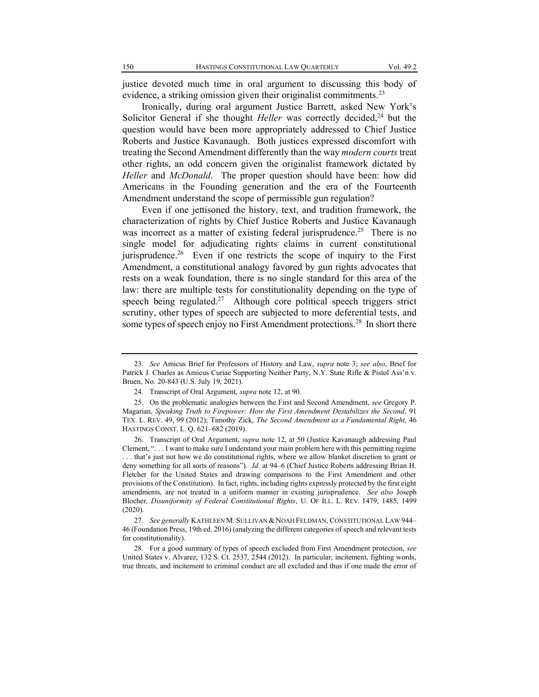justice devoted much time in oral argument to discussing this body of evidence, a striking omission given their originalist commitments.<sup>23</sup>

Ironically, during oral argument Justice Barrett, asked New York's Solicitor General if she thought *Heller* was correctly decided,<sup>24</sup> but the question would have been more appropriately addressed to Chief Justice Roberts and Justice Kavanaugh. Both justices expressed discomfort with treating the Second Amendment differently than the way *modern courts* treat other rights, an odd concern given the originalist framework dictated by *Heller* and *McDonald*. The proper question should have been: how did Americans in the Founding generation and the era of the Fourteenth Amendment understand the scope of permissible gun regulation?

Even if one jettisoned the history, text, and tradition framework, the characterization of rights by Chief Justice Roberts and Justice Kavanaugh was incorrect as a matter of existing federal jurisprudence.<sup>25</sup> There is no single model for adjudicating rights claims in current constitutional jurisprudence.<sup>26</sup> Even if one restricts the scope of inquiry to the First Amendment, a constitutional analogy favored by gun rights advocates that rests on a weak foundation, there is no single standard for this area of the law: there are multiple tests for constitutionality depending on the type of speech being regulated.<sup>27</sup> Although core political speech triggers strict scrutiny, other types of speech are subjected to more deferential tests, and some types of speech enjoy no First Amendment protections.<sup>28</sup> In short there

<sup>23</sup>*. See* Amicus Brief for Professors of History and Law, *supra* note 3; *see also*, Brief for Patrick J. Charles as Amicus Curiae Supporting Neither Party, N.Y. State Rifle & Pistol Ass'n v. Bruen, No. 20-843 (U.S. July 19, 2021).

<sup>24.</sup> Transcript of Oral Argument, *supra* note 12, at 90.

<sup>25.</sup> On the problematic analogies between the First and Second Amendment, *see* Gregory P. Magarian, *Speaking Truth to Firepower: How the First Amendment Destabilizes the Second*, 91 TEX. L. REV. 49, 99 (2012); Timothy Zick, *The Second Amendment as a Fundamental Right*, 46 HASTINGS CONST. L. Q. 621-682 (2019).

<sup>26.</sup> Transcript of Oral Argument, *supra* note 12, at 50 (Justice Kavanaugh addressing Paul Clement, "... I want to make sure I understand your main problem here with this permitting regime ... that's just not how we do constitutional rights, where we allow blanket discretion to grant or deny something for all sorts of reasons"). *Id.* at 94–6 (Chief Justice Roberts addressing Brian H. Fletcher for the United States and drawing comparisons to the First Amendment and other provisions of the Constitution). In fact, rights, including rights expressly protected by the first eight amendments, are not treated in a uniform manner in existing jurisprudence. *See also* Joseph Blocher, *Disuniformity of Federal Constitutional Rights*, U. OF ILL. L. REV*.* 1479, 1485, 1499 (2020).

<sup>27</sup>*. See generally* KATHLEEN M. SULLIVAN & NOAH FELDMAN, CONSTITUTIONAL LAW 944± 46 (Foundation Press, 19th ed. 2016) (analyzing the different categories of speech and relevant tests for constitutionality).

<sup>28.</sup> For a good summary of types of speech excluded from First Amendment protection, *see* United States v. Alvarez, 132 S. Ct. 2537, 2544 (2012). In particular, incitement, fighting words, true threats, and incitement to criminal conduct are all excluded and thus if one made the error of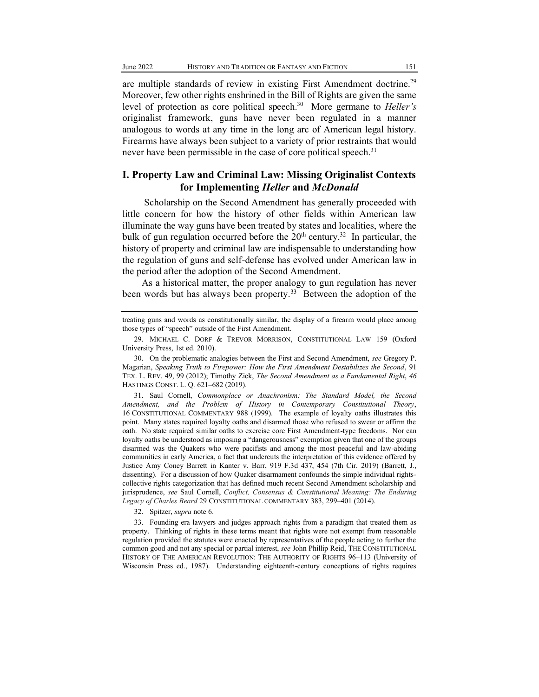are multiple standards of review in existing First Amendment doctrine.<sup>29</sup> Moreover, few other rights enshrined in the Bill of Rights are given the same level of protection as core political speech.<sup>30</sup> More germane to *Heller's* originalist framework, guns have never been regulated in a manner analogous to words at any time in the long arc of American legal history. Firearms have always been subject to a variety of prior restraints that would never have been permissible in the case of core political speech.<sup>31</sup>

### **I. Property Law and Criminal Law: Missing Originalist Contexts for Implementing** *Heller* **and** *McDonald*

Scholarship on the Second Amendment has generally proceeded with little concern for how the history of other fields within American law illuminate the way guns have been treated by states and localities, where the bulk of gun regulation occurred before the  $20<sup>th</sup>$  century.<sup>32</sup> In particular, the history of property and criminal law are indispensable to understanding how the regulation of guns and self-defense has evolved under American law in the period after the adoption of the Second Amendment.

As a historical matter, the proper analogy to gun regulation has never been words but has always been property.<sup>33</sup> Between the adoption of the

treating guns and words as constitutionally similar, the display of a firearm would place among those types of "speech" outside of the First Amendment.

31. Saul Cornell, *Commonplace or Anachronism: The Standard Model, the Second Amendment, and the Problem of History in Contemporary Constitutional Theory*, 16 CONSTITUTIONAL COMMENTARY 988 (1999). The example of loyalty oaths illustrates this point. Many states required loyalty oaths and disarmed those who refused to swear or affirm the oath. No state required similar oaths to exercise core First Amendment-type freedoms. Nor can loyalty oaths be understood as imposing a "dangerousness" exemption given that one of the groups disarmed was the Quakers who were pacifists and among the most peaceful and law-abiding communities in early America, a fact that undercuts the interpretation of this evidence offered by Justice Amy Coney Barrett in Kanter v. Barr, 919 F.3d 437, 454 (7th Cir. 2019) (Barrett, J., dissenting). For a discussion of how Quaker disarmament confounds the simple individual rightscollective rights categorization that has defined much recent Second Amendment scholarship and jurisprudence, *see* Saul Cornell, *Conflict, Consensus & [Constitutional](https://scholarship.law.umn.edu/cgi/viewcontent.cgi?article=1999&context=concomm) Meaning: The Enduring Legacy of [Charles](https://scholarship.law.umn.edu/cgi/viewcontent.cgi?article=1999&context=concomm) Beard* 29 CONSTITUTIONAL COMMENTARY 383, 299-401 (2014).

32. Spitzer, *supra* note 6.

33. Founding era lawyers and judges approach rights from a paradigm that treated them as property. Thinking of rights in these terms meant that rights were not exempt from reasonable regulation provided the statutes were enacted by representatives of the people acting to further the common good and not any special or partial interest, *see* John Phillip Reid, THE CONSTITUTIONAL HISTORY OF THE AMERICAN REVOLUTION: THE AUTHORITY OF RIGHTS 96-113 (University of Wisconsin Press ed., 1987). Understanding eighteenth-century conceptions of rights requires

<sup>29.</sup> MICHAEL C. DORF & TREVOR MORRISON, CONSTITUTIONAL LAW 159 (Oxford University Press, 1st ed. 2010).

<sup>30.</sup> On the problematic analogies between the First and Second Amendment, *see* Gregory P. Magarian, *Speaking Truth to Firepower: How the First Amendment Destabilizes the Second*, 91 TEX. L. REV. 49, 99 (2012); Timothy Zick, *The Second Amendment as a Fundamental Right*, *46*  HASTINGS CONST. L. Q. 621-682 (2019).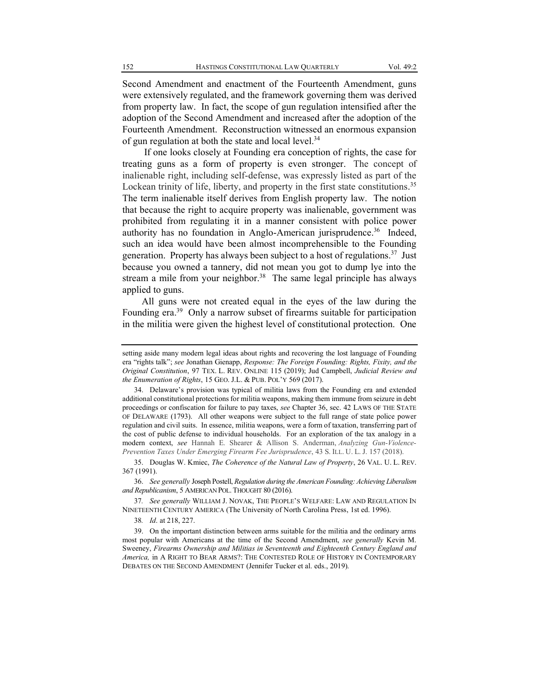Second Amendment and enactment of the Fourteenth Amendment, guns were extensively regulated, and the framework governing them was derived from property law. In fact, the scope of gun regulation intensified after the adoption of the Second Amendment and increased after the adoption of the Fourteenth Amendment. Reconstruction witnessed an enormous expansion of gun regulation at both the state and local level.<sup>34</sup>

If one looks closely at Founding era conception of rights, the case for treating guns as a form of property is even stronger. The concept of inalienable right, including self-defense, was expressly listed as part of the Lockean trinity of life, liberty, and property in the first state constitutions.<sup>35</sup> The term inalienable itself derives from English property law. The notion that because the right to acquire property was inalienable, government was prohibited from regulating it in a manner consistent with police power authority has no foundation in Anglo-American jurisprudence.<sup>36</sup> Indeed, such an idea would have been almost incomprehensible to the Founding generation. Property has always been subject to a host of regulations.<sup>37</sup> Just because you owned a tannery, did not mean you got to dump lye into the stream a mile from your neighbor.<sup>38</sup> The same legal principle has always applied to guns.

All guns were not created equal in the eyes of the law during the Founding era.<sup>39</sup> Only a narrow subset of firearms suitable for participation in the militia were given the highest level of constitutional protection. One

36. *See generally* Joseph Postell, *Regulation during the American Founding: Achieving Liberalism and Republicanism*, 5 AMERICAN POL. THOUGHT 80 (2016).

37. See generally WILLIAM J. NOVAK, THE PEOPLE'S WELFARE: LAW AND REGULATION IN NINETEENTH CENTURY AMERICA (The University of North Carolina Press, 1st ed. 1996).

38*. Id*. at 218, 227.

39. On the important distinction between arms suitable for the militia and the ordinary arms most popular with Americans at the time of the Second Amendment, *see generally* Kevin M. Sweeney, *Firearms Ownership and Militias in Seventeenth and Eighteenth Century England and America,* in A RIGHT TO BEAR ARMS?: THE CONTESTED ROLE OF HISTORY IN CONTEMPORARY DEBATES ON THE SECOND AMENDMENT (Jennifer Tucker et al. eds., 2019).

setting aside many modern legal ideas about rights and recovering the lost language of Founding era "rights talk"; see Jonathan Gienapp, *Response: The Foreign Founding: Rights, Fixity, and the Original Constitution*, 97 TEX. L. REV. ONLINE 115 (2019); Jud Campbell, *Judicial Review and the Enumeration of Rights*, 15 GEO. J.L. & PUB. POL'Y 569 (2017).

<sup>34.</sup> Delaware's provision was typical of militia laws from the Founding era and extended additional constitutional protections for militia weapons, making them immune from seizure in debt proceedings or confiscation for failure to pay taxes, *see* Chapter 36, sec. 42 LAWS OF THE STATE OF DELAWARE (1793). All other weapons were subject to the full range of state police power regulation and civil suits. In essence, militia weapons, were a form of taxation, transferring part of the cost of public defense to individual households. For an exploration of the tax analogy in a modern context, *see* Hannah E. Shearer & Allison S. Anderman, *Analyzing Gun-Violence-Prevention Taxes Under Emerging Firearm Fee Jurisprudence*, 43 S. ILL. U. L. J. 157 (2018).

<sup>35.</sup> Douglas W. Kmiec, *The Coherence of the Natural Law of Property*, 26 VAL. U. L. REV. 367 (1991).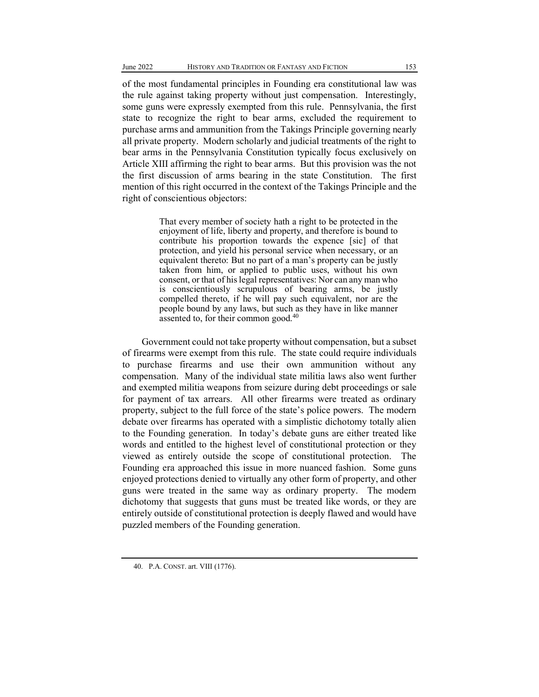of the most fundamental principles in Founding era constitutional law was the rule against taking property without just compensation. Interestingly, some guns were expressly exempted from this rule. Pennsylvania, the first state to recognize the right to bear arms, excluded the requirement to purchase arms and ammunition from the Takings Principle governing nearly all private property. Modern scholarly and judicial treatments of the right to bear arms in the Pennsylvania Constitution typically focus exclusively on Article XIII affirming the right to bear arms. But this provision was the not the first discussion of arms bearing in the state Constitution. The first mention of this right occurred in the context of the Takings Principle and the right of conscientious objectors:

> That every member of society hath a right to be protected in the enjoyment of life, liberty and property, and therefore is bound to contribute his proportion towards the expence [sic] of that protection, and yield his personal service when necessary, or an equivalent thereto: But no part of a man's property can be justly taken from him, or applied to public uses, without his own consent, or that of his legal representatives: Nor can any man who is conscientiously scrupulous of bearing arms, be justly compelled thereto, if he will pay such equivalent, nor are the people bound by any laws, but such as they have in like manner assented to, for their common good.<sup>40</sup>

Government could not take property without compensation, but a subset of firearms were exempt from this rule. The state could require individuals to purchase firearms and use their own ammunition without any compensation. Many of the individual state militia laws also went further and exempted militia weapons from seizure during debt proceedings or sale for payment of tax arrears. All other firearms were treated as ordinary property, subject to the full force of the state's police powers. The modern debate over firearms has operated with a simplistic dichotomy totally alien to the Founding generation. In today's debate guns are either treated like words and entitled to the highest level of constitutional protection or they viewed as entirely outside the scope of constitutional protection. The Founding era approached this issue in more nuanced fashion. Some guns enjoyed protections denied to virtually any other form of property, and other guns were treated in the same way as ordinary property. The modern dichotomy that suggests that guns must be treated like words, or they are entirely outside of constitutional protection is deeply flawed and would have puzzled members of the Founding generation.

 <sup>40.</sup> P.A. CONST. art. VIII (1776).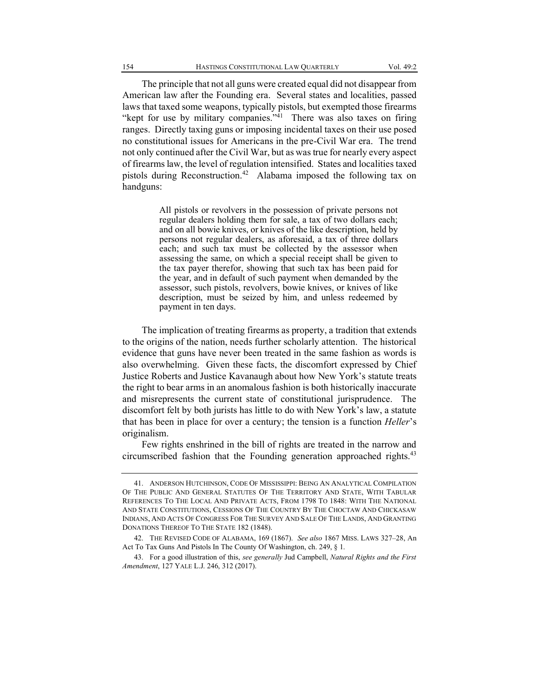The principle that not all guns were created equal did not disappear from American law after the Founding era. Several states and localities, passed laws that taxed some weapons, typically pistols, but exempted those firearms "kept for use by military companies."<sup>41</sup> There was also taxes on firing ranges. Directly taxing guns or imposing incidental taxes on their use posed no constitutional issues for Americans in the pre-Civil War era. The trend not only continued after the Civil War, but as was true for nearly every aspect of firearms law, the level of regulation intensified. States and localities taxed pistols during Reconstruction.42 Alabama imposed the following tax on handguns:

> All pistols or revolvers in the possession of private persons not regular dealers holding them for sale, a tax of two dollars each; and on all bowie knives, or knives of the like description, held by persons not regular dealers, as aforesaid, a tax of three dollars each; and such tax must be collected by the assessor when assessing the same, on which a special receipt shall be given to the tax payer therefor, showing that such tax has been paid for the year, and in default of such payment when demanded by the assessor, such pistols, revolvers, bowie knives, or knives of like description, must be seized by him, and unless redeemed by payment in ten days.

The implication of treating firearms as property, a tradition that extends to the origins of the nation, needs further scholarly attention. The historical evidence that guns have never been treated in the same fashion as words is also overwhelming. Given these facts, the discomfort expressed by Chief Justice Roberts and Justice Kavanaugh about how New York's statute treats the right to bear arms in an anomalous fashion is both historically inaccurate and misrepresents the current state of constitutional jurisprudence. The discomfort felt by both jurists has little to do with New York's law, a statute that has been in place for over a century; the tension is a function *Heller*'s originalism.

Few rights enshrined in the bill of rights are treated in the narrow and circumscribed fashion that the Founding generation approached rights.<sup>43</sup>

<sup>41.</sup> ANDERSON HUTCHINSON, CODE OF MISSISSIPPI: BEING AN ANALYTICAL COMPILATION OF THE PUBLIC AND GENERAL STATUTES OF THE TERRITORY AND STATE, WITH TABULAR REFERENCES TO THE LOCAL AND PRIVATE ACTS, FROM 1798 TO 1848: WITH THE NATIONAL AND STATE CONSTITUTIONS, CESSIONS OF THE COUNTRY BY THE CHOCTAW AND CHICKASAW INDIANS, AND ACTS OF CONGRESS FOR THE SURVEY AND SALE OF THE LANDS, AND GRANTING DONATIONS THEREOF TO THE STATE 182 (1848).

<sup>42.</sup> THE REVISED CODE OF ALABAMA, 169 (1867). See also 1867 MISS. LAWS 327-28, An Act To Tax Guns And Pistols In The County Of Washington, ch. 249, § 1.

<sup>43.</sup> For a good illustration of this, *see generally* Jud Campbell, *Natural Rights and the First Amendment*, 127 YALE L.J. 246, 312 (2017).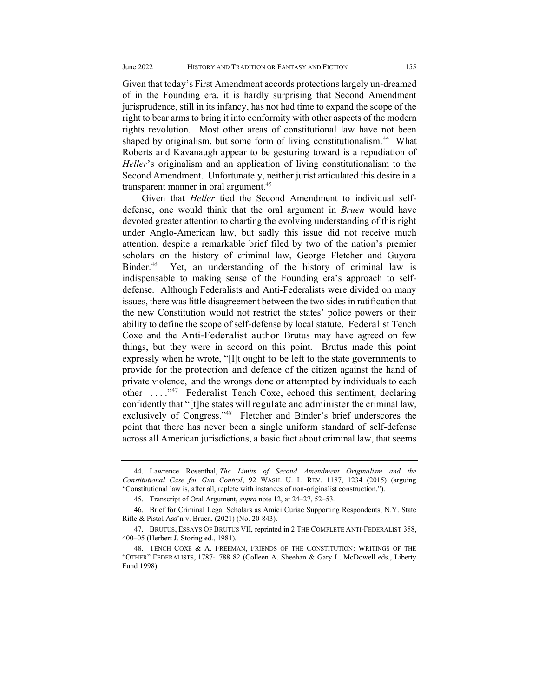Given that today's First Amendment accords protections largely un-dreamed of in the Founding era, it is hardly surprising that Second Amendment jurisprudence, still in its infancy, has not had time to expand the scope of the right to bear arms to bring it into conformity with other aspects of the modern rights revolution. Most other areas of constitutional law have not been shaped by originalism, but some form of living constitutionalism.<sup>44</sup> What Roberts and Kavanaugh appear to be gesturing toward is a repudiation of *Heller*'s originalism and an application of living constitutionalism to the Second Amendment. Unfortunately, neither jurist articulated this desire in a transparent manner in oral argument.<sup>45</sup>

Given that *Heller* tied the Second Amendment to individual selfdefense, one would think that the oral argument in *Bruen* would have devoted greater attention to charting the evolving understanding of this right under Anglo-American law, but sadly this issue did not receive much attention, despite a remarkable brief filed by two of the nation's premier scholars on the history of criminal law, George Fletcher and Guyora Binder.46 Yet, an understanding of the history of criminal law is indispensable to making sense of the Founding era's approach to selfdefense. Although Federalists and Anti-Federalists were divided on many issues, there was little disagreement between the two sides in ratification that the new Constitution would not restrict the states' police powers or their ability to define the scope of self-defense by local statute. Federalist Tench Coxe and the Anti-Federalist author Brutus may have agreed on few things, but they were in accord on this point. Brutus made this point expressly when he wrote, "[I]t ought to be left to the state governments to provide for the protection and defence of the citizen against the hand of private violence, and the wrongs done or attempted by individuals to each other ...."<sup>47</sup> Federalist Tench Coxe, echoed this sentiment, declaring confidently that "[t] he states will regulate and administer the criminal law, exclusively of Congress."<sup>48</sup> Fletcher and Binder's brief underscores the point that there has never been a single uniform standard of self-defense across all American jurisdictions, a basic fact about criminal law, that seems

<sup>44.</sup> Lawrence Rosenthal, *The Limits of Second Amendment Originalism and the Constitutional Case for Gun Control*, 92 WASH. U. L. REV. 1187, 1234 (2015) (arguing ³Constitutional law is, after all, replete with instances of non-originalist construction.´).

<sup>45.</sup> Transcript of Oral Argument, *supra* note 12, at 24-27, 52-53.

<sup>46.</sup> Brief for Criminal Legal Scholars as Amici Curiae Supporting Respondents, N.Y. State Rifle & Pistol Ass'n v. Bruen, (2021) (No. 20-843).

<sup>47.</sup> BRUTUS, ESSAYS OF BRUTUS VII, reprinted in 2 THE COMPLETE ANTI-FEDERALIST 358, 400±05 (Herbert J. Storing ed., 1981).

<sup>48.</sup> TENCH COXE & A. FREEMAN, FRIENDS OF THE CONSTITUTION: WRITINGS OF THE "OTHER" FEDERALISTS, 1787-1788 82 (Colleen A. Sheehan & Gary L. McDowell eds., Liberty Fund 1998).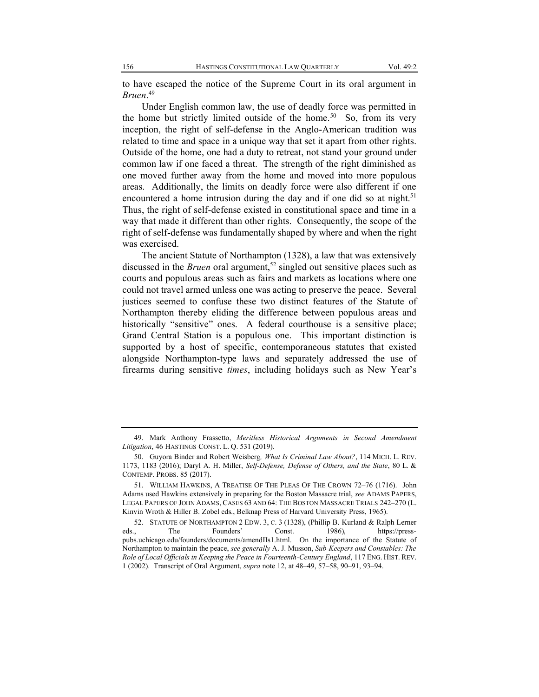to have escaped the notice of the Supreme Court in its oral argument in *Bruen*. 49

Under English common law, the use of deadly force was permitted in the home but strictly limited outside of the home.<sup>50</sup> So, from its very inception, the right of self-defense in the Anglo-American tradition was related to time and space in a unique way that set it apart from other rights. Outside of the home, one had a duty to retreat, not stand your ground under common law if one faced a threat. The strength of the right diminished as one moved further away from the home and moved into more populous areas. Additionally, the limits on deadly force were also different if one encountered a home intrusion during the day and if one did so at night.<sup>51</sup> Thus, the right of self-defense existed in constitutional space and time in a way that made it different than other rights. Consequently, the scope of the right of self-defense was fundamentally shaped by where and when the right was exercised.

The ancient Statute of Northampton (1328), a law that was extensively discussed in the *Bruen* oral argument,<sup>52</sup> singled out sensitive places such as courts and populous areas such as fairs and markets as locations where one could not travel armed unless one was acting to preserve the peace. Several justices seemed to confuse these two distinct features of the Statute of Northampton thereby eliding the difference between populous areas and historically "sensitive" ones. A federal courthouse is a sensitive place; Grand Central Station is a populous one. This important distinction is supported by a host of specific, contemporaneous statutes that existed alongside Northampton-type laws and separately addressed the use of firearms during sensitive *times*, including holidays such as New Year's

<sup>49.</sup> Mark Anthony Frassetto, *Meritless Historical Arguments in Second Amendment Litigation*, 46 HASTINGS CONST. L. Q. 531 (2019).

<sup>50.</sup> Guyora Binder and Robert Weisberg*, What Is Criminal Law About?*, 114 MICH. L. REV. 1173, 1183 (2016); Daryl A. H. Miller, *Self-Defense, Defense of Others, and the State*, 80 L. & CONTEMP. PROBS. 85 (2017).

<sup>51.</sup> WILLIAM HAWKINS, A TREATISE OF THE PLEAS OF THE CROWN 72-76 (1716). John Adams used Hawkins extensively in preparing for the Boston Massacre trial, *see* ADAMS PAPERS, LEGAL PAPERS OF JOHN ADAMS, CASES 63 AND 64: THE BOSTON MASSACRE TRIALS 242-270 (L. Kinvin Wroth & Hiller B. Zobel eds., Belknap Press of Harvard University Press, 1965).

<sup>52.</sup> STATUTE OF NORTHAMPTON 2 EDW. 3, C. 3 (1328), (Phillip B. Kurland & Ralph Lerner eds., The Founders' Const. 1986), https://presspubs.uchicago.edu/founders/documents/amendIIs1.html. On the importance of the Statute of Northampton to maintain the peace, *see generally* A. J. Musson, *Sub-Keepers and Constables: The Role of Local Officials in Keeping the Peace in Fourteenth-Century England*, 117 ENG. HIST. REV. 1 (2002). Transcript of Oral Argument, *supra* note 12, at 48-49, 57-58, 90-91, 93-94.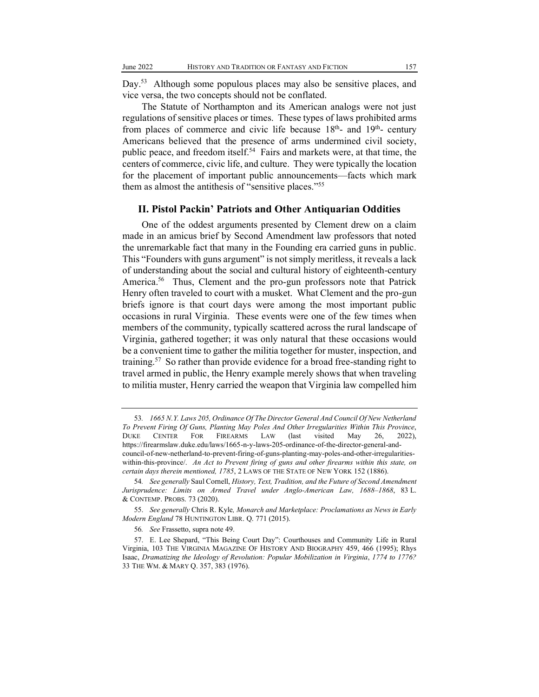Day.<sup>53</sup> Although some populous places may also be sensitive places, and vice versa, the two concepts should not be conflated.

The Statute of Northampton and its American analogs were not just regulations of sensitive places or times. These types of laws prohibited arms from places of commerce and civic life because  $18<sup>th</sup>$ - and  $19<sup>th</sup>$ - century Americans believed that the presence of arms undermined civil society, public peace, and freedom itself.<sup>54</sup> Fairs and markets were, at that time, the centers of commerce, civic life, and culture. They were typically the location for the placement of important public announcements—facts which mark them as almost the antithesis of "sensitive places."<sup>55</sup>

#### **II. Pistol Packin' Patriots and Other Antiquarian Oddities**

One of the oddest arguments presented by Clement drew on a claim made in an amicus brief by Second Amendment law professors that noted the unremarkable fact that many in the Founding era carried guns in public. This "Founders with guns argument" is not simply meritless, it reveals a lack of understanding about the social and cultural history of eighteenth-century America.<sup>56</sup> Thus, Clement and the pro-gun professors note that Patrick Henry often traveled to court with a musket. What Clement and the pro-gun briefs ignore is that court days were among the most important public occasions in rural Virginia. These events were one of the few times when members of the community, typically scattered across the rural landscape of Virginia, gathered together; it was only natural that these occasions would be a convenient time to gather the militia together for muster, inspection, and training.57 So rather than provide evidence for a broad free-standing right to travel armed in public, the Henry example merely shows that when traveling to militia muster, Henry carried the weapon that Virginia law compelled him

<sup>53</sup>*. 1665 N.Y. Laws 205, Ordinance Of The Director General And Council Of New Netherland To Prevent Firing Of Guns, Planting May Poles And Other Irregularities Within This Province*, DUKE CENTER FOR FIREARMS LAW (last visited May 26, 2022), https://firearmslaw.duke.edu/laws/1665-n-y-laws-205-ordinance-of-the-director-general-andcouncil-of-new-netherland-to-prevent-firing-of-guns-planting-may-poles-and-other-irregularitieswithin-this-province/. *An Act to Prevent firing of guns and other firearms within this state, on certain days therein mentioned, 1785*, 2 LAWS OF THE STATE OF NEW YORK 152 (1886).

<sup>54</sup>*. See generally* Saul Cornell, *History, Text, Tradition, and the Future of Second Amendment Jurisprudence: Limits on Armed Travel under Anglo-American Law, 1688±1868*, 83 L. & CONTEMP. PROBS. 73 (2020).

<sup>55.</sup> *See generally* Chris R. Kyle*, Monarch and Marketplace: Proclamations as News in Early Modern England* 78 HUNTINGTON LIBR. Q. 771 (2015).

<sup>56</sup>*. See* Frassetto, supra note 49.

<sup>57.</sup> E. Lee Shepard, "This Being Court Day": Courthouses and Community Life in Rural Virginia, 103 THE VIRGINIA MAGAZINE OF HISTORY AND BIOGRAPHY 459, 466 (1995); Rhys Isaac, *Dramatizing the Ideology of Revolution: Popular Mobilization in Virginia*, *1774 to 1776?* 33 THE WM. & MARY Q. 357, 383 (1976).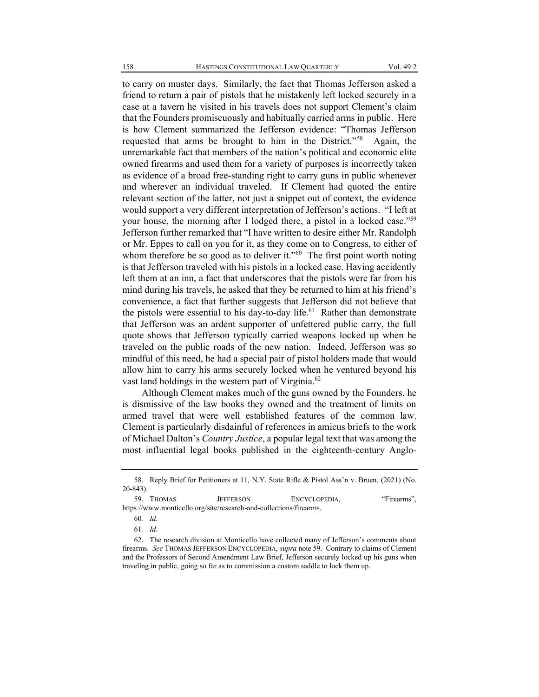to carry on muster days. Similarly, the fact that Thomas Jefferson asked a friend to return a pair of pistols that he mistakenly left locked securely in a case at a tavern he visited in his travels does not support Clement's claim that the Founders promiscuously and habitually carried arms in public. Here is how Clement summarized the Jefferson evidence: "Thomas Jefferson requested that arms be brought to him in the District."<sup>58</sup> Again, the unremarkable fact that members of the nation's political and economic elite owned firearms and used them for a variety of purposes is incorrectly taken as evidence of a broad free-standing right to carry guns in public whenever and wherever an individual traveled. If Clement had quoted the entire relevant section of the latter, not just a snippet out of context, the evidence would support a very different interpretation of Jefferson's actions. "I left at your house, the morning after I lodged there, a pistol in a locked case.<sup>559</sup> Jefferson further remarked that "I have written to desire either Mr. Randolph or Mr. Eppes to call on you for it, as they come on to Congress, to either of whom therefore be so good as to deliver it."<sup>60</sup> The first point worth noting is that Jefferson traveled with his pistols in a locked case. Having accidently left them at an inn, a fact that underscores that the pistols were far from his mind during his travels, he asked that they be returned to him at his friend's convenience, a fact that further suggests that Jefferson did not believe that the pistols were essential to his day-to-day life.<sup>61</sup> Rather than demonstrate that Jefferson was an ardent supporter of unfettered public carry, the full quote shows that Jefferson typically carried weapons locked up when he traveled on the public roads of the new nation. Indeed, Jefferson was so mindful of this need, he had a special pair of pistol holders made that would allow him to carry his arms securely locked when he ventured beyond his vast land holdings in the western part of Virginia.<sup>62</sup>

Although Clement makes much of the guns owned by the Founders, he is dismissive of the law books they owned and the treatment of limits on armed travel that were well established features of the common law. Clement is particularly disdainful of references in amicus briefs to the work of Michael Dalton's *Country Justice*, a popular legal text that was among the most influential legal books published in the eighteenth-century Anglo-

60*. Id.*

<sup>58.</sup> Reply Brief for Petitioners at 11, N.Y. State Rifle & Pistol Ass'n v. Bruen, (2021) (No. 20-843).

<sup>59.</sup> THOMAS JEFFERSON ENCYCLOPEDIA, "Firearms", https://www.monticello.org/site/research-and-collections/firearms.

<sup>61</sup>*. Id*.

<sup>62.</sup> The research division at Monticello have collected many of Jefferson's comments about firearms. *See* THOMAS JEFFERSON ENCYCLOPEDIA, *supra* note 59. Contrary to claims of Clement and the Professors of Second Amendment Law Brief, Jefferson securely locked up his guns when traveling in public, going so far as to commission a custom saddle to lock them up.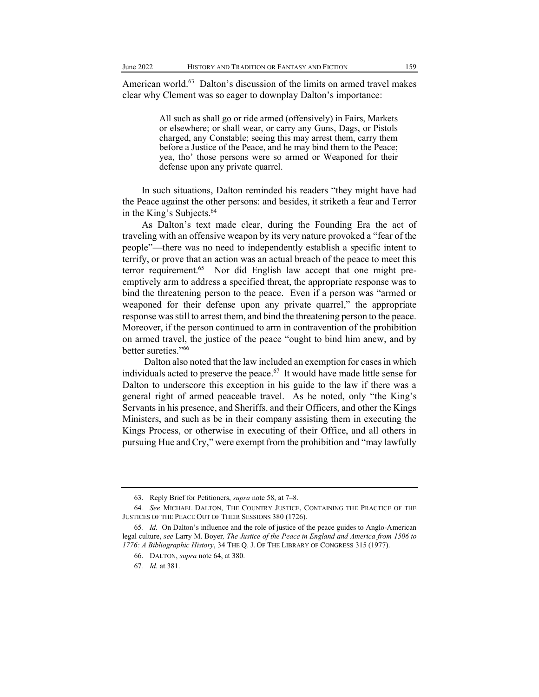American world.<sup>63</sup> Dalton's discussion of the limits on armed travel makes clear why Clement was so eager to downplay Dalton's importance:

> All such as shall go or ride armed (offensively) in Fairs, Markets or elsewhere; or shall wear, or carry any Guns, Dags, or Pistols charged, any Constable; seeing this may arrest them, carry them before a Justice of the Peace, and he may bind them to the Peace; yea, tho' those persons were so armed or Weaponed for their defense upon any private quarrel.

In such situations, Dalton reminded his readers "they might have had the Peace against the other persons: and besides, it striketh a fear and Terror in the King's Subjects. $64$ 

As Dalton's text made clear, during the Founding Era the act of traveling with an offensive weapon by its very nature provoked a "fear of the people"—there was no need to independently establish a specific intent to terrify, or prove that an action was an actual breach of the peace to meet this terror requirement.<sup>65</sup> Nor did English law accept that one might preemptively arm to address a specified threat, the appropriate response was to bind the threatening person to the peace. Even if a person was "armed or weaponed for their defense upon any private quarrel," the appropriate response was still to arrest them, and bind the threatening person to the peace. Moreover, if the person continued to arm in contravention of the prohibition on armed travel, the justice of the peace "ought to bind him anew, and by better sureties."<sup>66</sup>

Dalton also noted that the law included an exemption for cases in which individuals acted to preserve the peace.<sup>67</sup> It would have made little sense for Dalton to underscore this exception in his guide to the law if there was a general right of armed peaceable travel. As he noted, only "the King's Servants in his presence, and Sheriffs, and their Officers, and other the Kings Ministers, and such as be in their company assisting them in executing the Kings Process, or otherwise in executing of their Office, and all others in pursuing Hue and Cry," were exempt from the prohibition and "may lawfully

<sup>63.</sup> Reply Brief for Petitioners, *supra* note 58, at 7-8.

<sup>64</sup>*. See* MICHAEL DALTON, THE COUNTRY JUSTICE, CONTAINING THE PRACTICE OF THE JUSTICES OF THE PEACE OUT OF THEIR SESSIONS 380 (1726).

<sup>65.</sup> *Id.* On Dalton's influence and the role of justice of the peace guides to Anglo-American legal culture, *see* Larry M. Boyer*, The Justice of the Peace in England and America from 1506 to 1776: A Bibliographic History*, 34 THE Q. J. OF THE LIBRARY OF CONGRESS 315 (1977).

<sup>66.</sup> DALTON, *supra* note 64, at 380.

<sup>67</sup>*. Id.* at 381.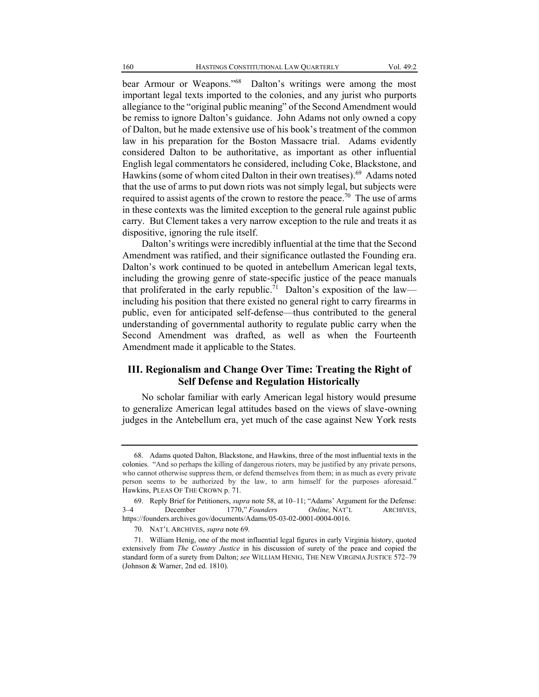bear Armour or Weapons."<sup>68</sup> Dalton's writings were among the most important legal texts imported to the colonies, and any jurist who purports allegiance to the "original public meaning" of the Second Amendment would be remiss to ignore Dalton's guidance. John Adams not only owned a copy of Dalton, but he made extensive use of his book's treatment of the common law in his preparation for the Boston Massacre trial. Adams evidently considered Dalton to be authoritative, as important as other influential English legal commentators he considered, including Coke, Blackstone, and Hawkins (some of whom cited Dalton in their own treatises). 69 Adams noted that the use of arms to put down riots was not simply legal, but subjects were required to assist agents of the crown to restore the peace.<sup>70</sup> The use of arms in these contexts was the limited exception to the general rule against public carry. But Clement takes a very narrow exception to the rule and treats it as dispositive, ignoring the rule itself.

Dalton's writings were incredibly influential at the time that the Second Amendment was ratified, and their significance outlasted the Founding era. Dalton's work continued to be quoted in antebellum American legal texts, including the growing genre of state-specific justice of the peace manuals that proliferated in the early republic.<sup>71</sup> Dalton's exposition of the law including his position that there existed no general right to carry firearms in public, even for anticipated self-defense—thus contributed to the general understanding of governmental authority to regulate public carry when the Second Amendment was drafted, as well as when the Fourteenth Amendment made it applicable to the States.

### **III. Regionalism and Change Over Time: Treating the Right of Self Defense and Regulation Historically**

No scholar familiar with early American legal history would presume to generalize American legal attitudes based on the views of slave-owning judges in the Antebellum era, yet much of the case against New York rests

<sup>68.</sup> Adams quoted Dalton, Blackstone, and Hawkins, three of the most influential texts in the colonies. "And so perhaps the killing of dangerous rioters, may be justified by any private persons, who cannot otherwise suppress them, or defend themselves from them; in as much as every private person seems to be authorized by the law, to arm himself for the purposes aforesaid.<sup>"</sup> Hawkins, [PLEAS OF THE CROWN](https://founders.archives.gov/documents/Adams/05-03-02-0001-0004-0016) p. 71.

<sup>69.</sup> Reply Brief for Petitioners, *supra* note 58, at 10–11; "Adams' Argument for the Defense:<br>3–4 December 1770." *Founders* Online. NAT'L ARCHIVES. December 1770," *Founders Online*, NAT'L ARCHIVES, https://founders.archives.gov/documents/Adams/05-03-02-0001-0004-0016.

<sup>70.</sup> NAT'L ARCHIVES, *supra* note 69.

<sup>71.</sup> William Henig, one of the most influential legal figures in early Virginia history, quoted extensively from *The Country Justice* in his discussion of surety of the peace and copied the standard form of a surety from Dalton; *see* WILLIAM HENIG, THE NEW VIRGINIA JUSTICE 572-79 (Johnson & Warner, 2nd ed. 1810).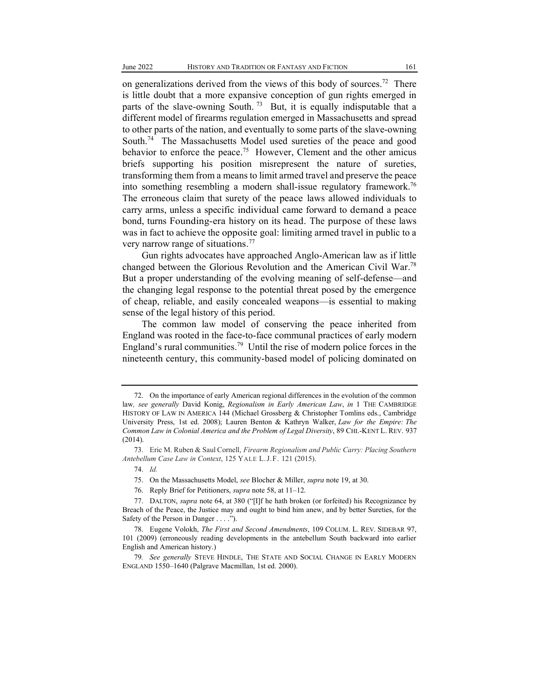on generalizations derived from the views of this body of sources.<sup>72</sup> There is little doubt that a more expansive conception of gun rights emerged in parts of the slave-owning South.<sup>73</sup> But, it is equally indisputable that a different model of firearms regulation emerged in Massachusetts and spread to other parts of the nation, and eventually to some parts of the slave-owning South.<sup>74</sup> The Massachusetts Model used sureties of the peace and good behavior to enforce the peace.<sup>75</sup> However, Clement and the other amicus briefs supporting his position misrepresent the nature of sureties, transforming them from a means to limit armed travel and preserve the peace into something resembling a modern shall-issue regulatory framework.76 The erroneous claim that surety of the peace laws allowed individuals to carry arms, unless a specific individual came forward to demand a peace bond, turns Founding-era history on its head. The purpose of these laws was in fact to achieve the opposite goal: limiting armed travel in public to a very narrow range of situations. 77

Gun rights advocates have approached Anglo-American law as if little changed between the Glorious Revolution and the American Civil War.78 But a proper understanding of the evolving meaning of self-defense—and the changing legal response to the potential threat posed by the emergence of cheap, reliable, and easily concealed weapons—is essential to making sense of the legal history of this period.

The common law model of conserving the peace inherited from England was rooted in the face-to-face communal practices of early modern England's rural communities.<sup>79</sup> Until the rise of modern police forces in the nineteenth century, this community-based model of policing dominated on

<sup>72.</sup> On the importance of early American regional differences in the evolution of the common law*, see generally* David Konig, *Regionalism in Early American Law*, *in* 1 THE CAMBRIDGE HISTORY OF LAW IN AMERICA 144 (Michael Grossberg & Christopher Tomlins eds., Cambridge University Press, 1st ed. 2008); Lauren Benton & Kathryn Walker, *Law for the Empire: The Common Law in Colonial America and the Problem of Legal Diversity*, 89 CHI.-KENT L. REV. 937 (2014).

<sup>73.</sup> Eric M. Ruben & Saul Cornell, *Firearm Regionalism and Public Carry: Placing Southern Antebellum Case Law in Context*, 125 YALE L.J.F. 121 (2015).

<sup>74.</sup> *Id.*

<sup>75.</sup> On the Massachusetts Model, *see* Blocher & Miller, *supra* note 19, at 30.

<sup>76.</sup> Reply Brief for Petitioners, *supra* note 58, at 11-12.

<sup>77.</sup> DALTON, *supra* note 64, at 380 ("[I]f he hath broken (or forfeited) his Recognizance by Breach of the Peace, the Justice may and ought to bind him anew, and by better Sureties, for the Safety of the Person in Danger . . . .´).

<sup>78.</sup> Eugene Volokh, *The First and Second Amendments*, 109 COLUM. L. REV. SIDEBAR 97, 101 (2009) (erroneously reading developments in the antebellum South backward into earlier English and American history.)

<sup>79</sup>*. See generally* STEVE HINDLE, THE STATE AND SOCIAL CHANGE IN EARLY MODERN ENGLAND 1550-1640 (Palgrave Macmillan, 1st ed. 2000).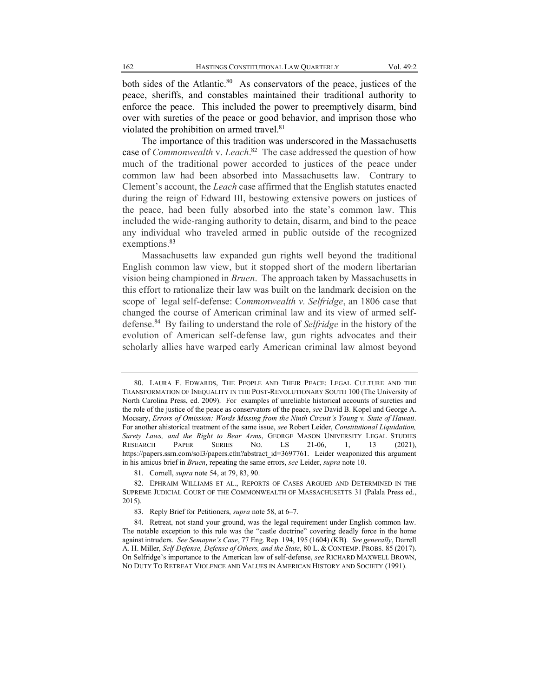both sides of the Atlantic.<sup>80</sup> As conservators of the peace, justices of the peace, sheriffs, and constables maintained their traditional authority to enforce the peace. This included the power to preemptively disarm, bind over with sureties of the peace or good behavior, and imprison those who violated the prohibition on armed travel.<sup>81</sup>

The importance of this tradition was underscored in the Massachusetts case of *Commonwealth* v. *Leach*. 82 The case addressed the question of how much of the traditional power accorded to justices of the peace under common law had been absorbed into Massachusetts law. Contrary to Clement's account, the *Leach* case affirmed that the English statutes enacted during the reign of Edward III, bestowing extensive powers on justices of the peace, had been fully absorbed into the state's common law. This included the wide-ranging authority to detain, disarm, and bind to the peace any individual who traveled armed in public outside of the recognized exemptions.<sup>83</sup>

Massachusetts law expanded gun rights well beyond the traditional English common law view, but it stopped short of the modern libertarian vision being championed in *Bruen*. The approach taken by Massachusetts in this effort to rationalize their law was built on the landmark decision on the scope of legal self-defense: C*ommonwealth v. Selfridge*, an 1806 case that changed the course of American criminal law and its view of armed selfdefense.84 By failing to understand the role of *Selfridge* in the history of the evolution of American self-defense law, gun rights advocates and their scholarly allies have warped early American criminal law almost beyond

<sup>80.</sup> LAURA F. EDWARDS, THE PEOPLE AND THEIR PEACE: LEGAL CULTURE AND THE TRANSFORMATION OF INEQUALITY IN THE POST-REVOLUTIONARY SOUTH 100 (The University of North Carolina Press, ed. 2009). For examples of unreliable historical accounts of sureties and the role of the justice of the peace as conservators of the peace, *see* [David B. Kopel](https://papers.ssrn.com/sol3/cf_dev/AbsByAuth.cfm?per_id=42480) an[d George A.](https://papers.ssrn.com/sol3/cf_dev/AbsByAuth.cfm?per_id=960032)  [Mocsary,](https://papers.ssrn.com/sol3/cf_dev/AbsByAuth.cfm?per_id=960032) *Errors of Omission: Words Missing from the Ninth Circuit¶s Young v. State of Hawaii*. For another ahistorical treatment of the same issue, *see* Robert Leider, *Constitutional Liquidation, Surety Laws, and the Right to Bear Arms*, GEORGE MASON UNIVERSITY LEGAL STUDIES RESEARCH PAPER SERIES NO. LS 21-06, 1, 13 (2021), https://papers.ssrn.com/sol3/papers.cfm?abstract\_id=3697761. Leider weaponized this argument in his amicus brief in *Bruen*, repeating the same errors, *see* Leider, *supra* note 10.

<sup>81.</sup> Cornell, *supra* note 54, at 79, 83, 90.

<sup>82.</sup> EPHRAIM WILLIAMS ET AL., REPORTS OF CASES ARGUED AND DETERMINED IN THE SUPREME JUDICIAL COURT OF THE COMMONWEALTH OF MASSACHUSETTS 31 (Palala Press ed., 2015).

<sup>83.</sup> Reply Brief for Petitioners, *supra* note 58, at 6-7.

<sup>84.</sup> Retreat, not stand your ground, was the legal requirement under English common law. The notable exception to this rule was the "castle doctrine" covering deadly force in the home against intruders. *See Semayne¶s Case*, 77 Eng. Rep. 194, 195 (1604) (KB). *See generally*, Darrell A. H. Miller, *Self-Defense, Defense of Others, and the State*, 80 L. & CONTEMP. PROBS. 85 (2017). On Selfridge's importance to the American law of self-defense, *see* RICHARD MAXWELL BROWN, NO DUTY TO RETREAT VIOLENCE AND VALUES IN AMERICAN HISTORY AND SOCIETY (1991).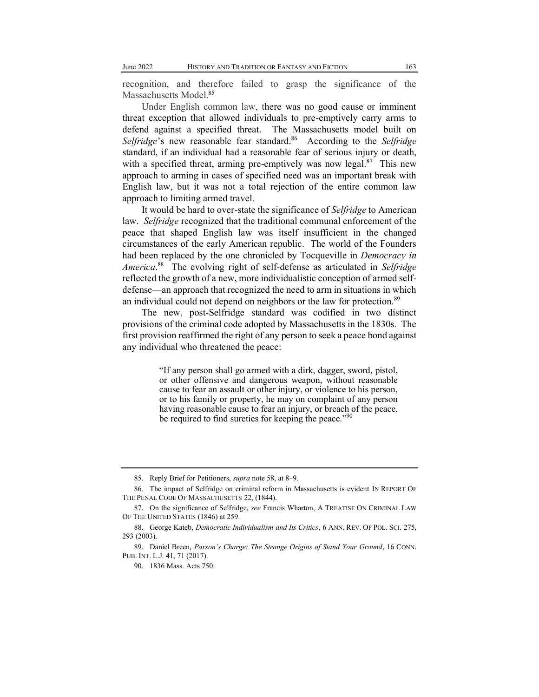recognition, and therefore failed to grasp the significance of the Massachusetts Model.<sup>85</sup>

Under English common law, there was no good cause or imminent threat exception that allowed individuals to pre-emptively carry arms to defend against a specified threat. The Massachusetts model built on *Selfridge*'s new reasonable fear standard.<sup>86</sup> According to the *Selfridge* standard, if an individual had a reasonable fear of serious injury or death, with a specified threat, arming pre-emptively was now legal.<sup>87</sup> This new approach to arming in cases of specified need was an important break with English law, but it was not a total rejection of the entire common law approach to limiting armed travel.

It would be hard to over-state the significance of *Selfridge* to American law. *Selfridge* recognized that the traditional communal enforcement of the peace that shaped English law was itself insufficient in the changed circumstances of the early American republic. The world of the Founders had been replaced by the one chronicled by Tocqueville in *Democracy in America*. 88 The evolving right of self-defense as articulated in *Selfridge* reflected the growth of a new, more individualistic conception of armed selfdefense—an approach that recognized the need to arm in situations in which an individual could not depend on neighbors or the law for protection.<sup>89</sup>

The new, post-Selfridge standard was codified in two distinct provisions of the criminal code adopted by Massachusetts in the 1830s. The first provision reaffirmed the right of any person to seek a peace bond against any individual who threatened the peace:

> "If any person shall go armed with a dirk, dagger, sword, pistol, or other offensive and dangerous weapon, without reasonable cause to fear an assault or other injury, or violence to his person, or to his family or property, he may on complaint of any person having reasonable cause to fear an injury, or breach of the peace, be required to find sureties for keeping the peace.<sup> $\cdot$ 90</sup>

<sup>85.</sup> Reply Brief for Petitioners, *supra* note 58, at 8-9.

<sup>86.</sup> The impact of Selfridge on criminal reform in Massachusetts is evident IN REPORT OF THE PENAL CODE OF MASSACHUSETTS 22, (1844).

<sup>87.</sup> On the significance of Selfridge, *see* Francis Wharton, A TREATISE ON CRIMINAL LAW OF THE UNITED STATES (1846) at 259.

<sup>88.</sup> George Kateb, *Democratic Individualism and Its Critics*, 6 ANN. REV. OF POL. SCI. 275, 293 (2003).

<sup>89.</sup> Daniel Breen, *Parson's Charge: The Strange Origins of Stand Your Ground*, 16 CONN. PUB. INT. L.J. 41, 71 (2017).

<sup>90.</sup> 1836 Mass. Acts 750.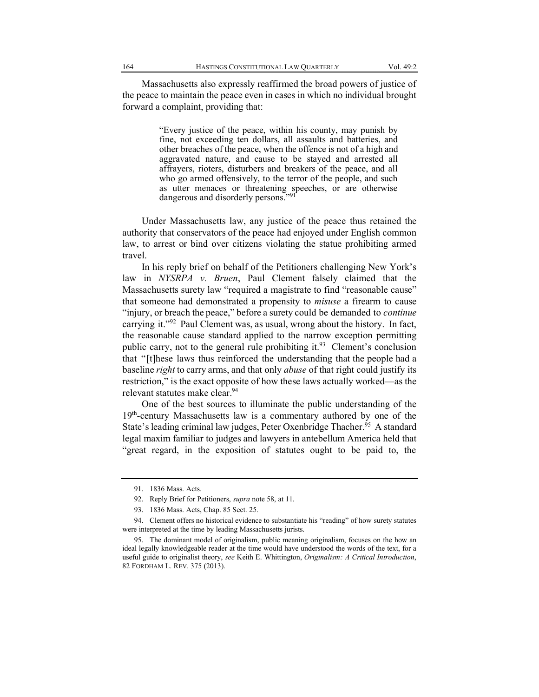Massachusetts also expressly reaffirmed the broad powers of justice of the peace to maintain the peace even in cases in which no individual brought forward a complaint, providing that:

> "Every justice of the peace, within his county, may punish by fine, not exceeding ten dollars, all assaults and batteries, and other breaches of the peace, when the offence is not of a high and aggravated nature, and cause to be stayed and arrested all affrayers, rioters, disturbers and breakers of the peace, and all who go armed offensively, to the terror of the people, and such as utter menaces or threatening speeches, or are otherwise dangerous and disorderly persons."<sup>91</sup>

Under Massachusetts law, any justice of the peace thus retained the authority that conservators of the peace had enjoyed under English common law, to arrest or bind over citizens violating the statue prohibiting armed travel.

In his reply brief on behalf of the Petitioners challenging New York's law in *NYSRPA v. Bruen*, Paul Clement falsely claimed that the Massachusetts surety law "required a magistrate to find "reasonable cause" that someone had demonstrated a propensity to *misuse* a firearm to cause "injury, or breach the peace," before a surety could be demanded to *continue* carrying it. $192$  Paul Clement was, as usual, wrong about the history. In fact, the reasonable cause standard applied to the narrow exception permitting public carry, not to the general rule prohibiting it.<sup>93</sup> Clement's conclusion that "[t]hese laws thus reinforced the understanding that the people had a baseline *right* to carry arms, and that only *abuse* of that right could justify its restriction," is the exact opposite of how these laws actually worked—as the relevant statutes make clear.<sup>94</sup>

One of the best sources to illuminate the public understanding of the 19<sup>th</sup>-century Massachusetts law is a commentary authored by one of the State's leading criminal law judges, Peter Oxenbridge Thacher.<sup>95</sup> A standard legal maxim familiar to judges and lawyers in antebellum America held that "great regard, in the exposition of statutes ought to be paid to, the

<sup>91.</sup> 1836 Mass. Acts.

<sup>92.</sup> Reply Brief for Petitioners, *supra* note 58, at 11.

<sup>93.</sup> 1836 Mass. Acts, Chap. 85 Sect. 25.

<sup>94.</sup> Clement offers no historical evidence to substantiate his "reading" of how surety statutes were interpreted at the time by leading Massachusetts jurists.

<sup>95.</sup> The dominant model of originalism, public meaning originalism, focuses on the how an ideal legally knowledgeable reader at the time would have understood the words of the text, for a useful guide to originalist theory, *see* Keith E. Whittington, *Originalism: A Critical Introduction*, 82 FORDHAM L. REV. 375 (2013).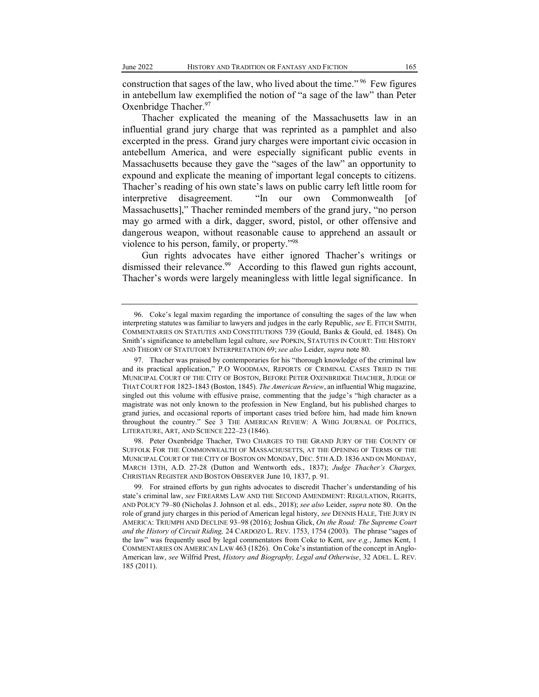construction that sages of the law, who lived about the time." <sup>96</sup> Few figures in antebellum law exemplified the notion of "a sage of the law" than Peter Oxenbridge Thacher.<sup>97</sup>

Thacher explicated the meaning of the Massachusetts law in an influential grand jury charge that was reprinted as a pamphlet and also excerpted in the press. Grand jury charges were important civic occasion in antebellum America, and were especially significant public events in Massachusetts because they gave the "sages of the law" an opportunity to expound and explicate the meaning of important legal concepts to citizens. Thacher's reading of his own state's laws on public carry left little room for interpretive disagreement. "In our own Commonwealth [of Massachusetts]," Thacher reminded members of the grand jury, "no person may go armed with a dirk, dagger, sword, pistol, or other offensive and dangerous weapon, without reasonable cause to apprehend an assault or violence to his person, family, or property. $\frac{98}{98}$ 

Gun rights advocates have either ignored Thacher's writings or dismissed their relevance.<sup>99</sup> According to this flawed gun rights account, Thacher's words were largely meaningless with little legal significance. In

98. Peter Oxenbridge Thacher, TWO CHARGES TO THE GRAND JURY OF THE COUNTY OF SUFFOLK FOR THE COMMONWEALTH OF MASSACHUSETTS, AT THE OPENING OF TERMS OF THE MUNICIPAL COURT OF THE CITY OF BOSTON ON MONDAY, DEC. 5TH A.D. 1836 AND ON MONDAY, MARCH 13TH, A.D. 27-28 (Dutton and Wentworth eds., 1837); *Judge Thacher's Charges*, CHRISTIAN REGISTER AND BOSTON OBSERVER June 10, 1837, p. 91.

<sup>96.</sup> Coke's legal maxim regarding the importance of consulting the sages of the law when interpreting statutes was familiar to lawyers and judges in the early Republic, *see* E. FITCH SMITH, COMMENTARIES ON STATUTES AND CONSTITUTIONS 739 (Gould, Banks & Gould, ed. 1848). On Smith's significance to antebellum legal culture, *see* POPKIN, STATUTES IN COURT: THE HISTORY AND THEORY OF STATUTORY INTERPRETATION 69;*see also* Leider, *supra* note 80.

<sup>97.</sup> Thacher was praised by contemporaries for his "thorough knowledge of the criminal law and its practical application,´ P.O WOODMAN, REPORTS OF CRIMINAL CASES TRIED IN THE MUNICIPAL COURT OF THE CITY OF BOSTON, BEFORE PETER OXENBRIDGE THACHER, JUDGE OF THAT COURT FOR 1823-1843 (Boston, 1845). *The American Review*, an influential Whig magazine, singled out this volume with effusive praise, commenting that the judge's "high character as a magistrate was not only known to the profession in New England, but his published charges to grand juries, and occasional reports of important cases tried before him, had made him known throughout the country." See 3 THE AMERICAN REVIEW: A WHIG JOURNAL OF POLITICS, LITERATURE, ART, AND SCIENCE 222-23 (1846).

<sup>99.</sup> For strained efforts by gun rights advocates to discredit Thacher's understanding of his state's criminal law, see FIREARMS LAW AND THE SECOND AMENDMENT: REGULATION, RIGHTS, AND POLICY 79±80 (Nicholas J. Johnson et al. eds., 2018); *see also* Leider, *supra* note 80. On the role of grand jury charges in this period of American legal history, *see* DENNIS HALE, THE JURY IN AMERICA: TRIUMPH AND DECLINE 93-98 (2016); Joshua Glick, On the Road: The Supreme Court *and the History of Circuit Riding,* 24 CARDOZO L. REV. 1753, 1754 (2003). The phrase "sages of the law´ was frequently used by legal commentators from Coke to Kent, *see e.g.*, James Kent, 1 COMMENTARIES ON AMERICAN LAW 463 (1826). On Coke's instantiation of the concept in Anglo-American law, *see* Wilfrid Prest, *History and Biography, Legal and Otherwise*, 32 ADEL. L. REV. 185 (2011).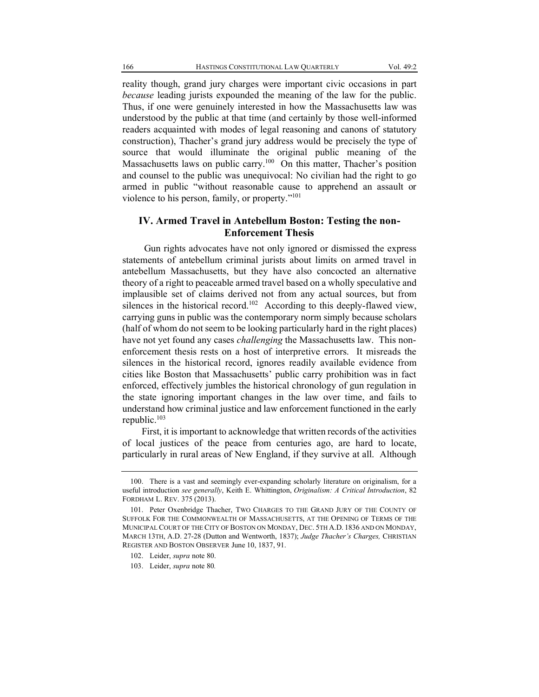reality though, grand jury charges were important civic occasions in part *because* leading jurists expounded the meaning of the law for the public. Thus, if one were genuinely interested in how the Massachusetts law was understood by the public at that time (and certainly by those well-informed readers acquainted with modes of legal reasoning and canons of statutory construction), Thacher's grand jury address would be precisely the type of source that would illuminate the original public meaning of the Massachusetts laws on public carry.<sup>100</sup> On this matter, Thacher's position and counsel to the public was unequivocal: No civilian had the right to go armed in public "without reasonable cause to apprehend an assault or violence to his person, family, or property."<sup>101</sup>

### **IV. Armed Travel in Antebellum Boston: Testing the non-Enforcement Thesis**

Gun rights advocates have not only ignored or dismissed the express statements of antebellum criminal jurists about limits on armed travel in antebellum Massachusetts, but they have also concocted an alternative theory of a right to peaceable armed travel based on a wholly speculative and implausible set of claims derived not from any actual sources, but from silences in the historical record.<sup>102</sup> According to this deeply-flawed view, carrying guns in public was the contemporary norm simply because scholars (half of whom do not seem to be looking particularly hard in the right places) have not yet found any cases *challenging* the Massachusetts law. This nonenforcement thesis rests on a host of interpretive errors. It misreads the silences in the historical record, ignores readily available evidence from cities like Boston that Massachusetts' public carry prohibition was in fact enforced, effectively jumbles the historical chronology of gun regulation in the state ignoring important changes in the law over time, and fails to understand how criminal justice and law enforcement functioned in the early republic.103

First, it is important to acknowledge that written records of the activities of local justices of the peace from centuries ago, are hard to locate, particularly in rural areas of New England, if they survive at all. Although

<sup>100.</sup> There is a vast and seemingly ever-expanding scholarly literature on originalism, for a useful introduction *see generally*, Keith E. Whittington, *Originalism: A Critical Introduction*, 82 FORDHAM L. REV. 375 (2013).

<sup>101.</sup> Peter Oxenbridge Thacher, TWO CHARGES TO THE GRAND JURY OF THE COUNTY OF SUFFOLK FOR THE COMMONWEALTH OF MASSACHUSETTS, AT THE OPENING OF TERMS OF THE MUNICIPAL COURT OF THE CITY OF BOSTON ON MONDAY, DEC. 5TH A.D. 1836 AND ON MONDAY, MARCH 13TH, A.D. 27-28 (Dutton and Wentworth, 1837); *Judge Thacher¶s Charges,* CHRISTIAN REGISTER AND BOSTON OBSERVER June 10, 1837, 91.

<sup>102.</sup> Leider, *supra* note 80.

<sup>103.</sup> Leider, *supra* note 80*.*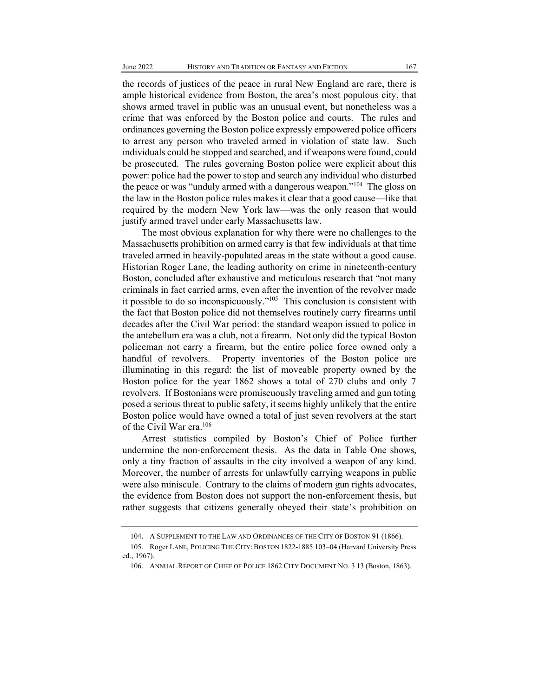the records of justices of the peace in rural New England are rare, there is ample historical evidence from Boston, the area's most populous city, that shows armed travel in public was an unusual event, but nonetheless was a crime that was enforced by the Boston police and courts. The rules and ordinances governing the Boston police expressly empowered police officers to arrest any person who traveled armed in violation of state law. Such individuals could be stopped and searched, and if weapons were found, could be prosecuted. The rules governing Boston police were explicit about this power: police had the power to stop and search any individual who disturbed the peace or was "unduly armed with a dangerous weapon."<sup>104</sup> The gloss on the law in the Boston police rules makes it clear that a good cause—like that required by the modern New York law—was the only reason that would justify armed travel under early Massachusetts law.

The most obvious explanation for why there were no challenges to the Massachusetts prohibition on armed carry is that few individuals at that time traveled armed in heavily-populated areas in the state without a good cause. Historian Roger Lane, the leading authority on crime in nineteenth-century Boston, concluded after exhaustive and meticulous research that "not many criminals in fact carried arms, even after the invention of the revolver made it possible to do so inconspicuously."<sup>105</sup> This conclusion is consistent with the fact that Boston police did not themselves routinely carry firearms until decades after the Civil War period: the standard weapon issued to police in the antebellum era was a club, not a firearm. Not only did the typical Boston policeman not carry a firearm, but the entire police force owned only a handful of revolvers. Property inventories of the Boston police are illuminating in this regard: the list of moveable property owned by the Boston police for the year 1862 shows a total of 270 clubs and only 7 revolvers. If Bostonians were promiscuously traveling armed and gun toting posed a serious threat to public safety, it seems highly unlikely that the entire Boston police would have owned a total of just seven revolvers at the start of the Civil War era.<sup>106</sup>

Arrest statistics compiled by Boston's Chief of Police further undermine the non-enforcement thesis. As the data in Table One shows, only a tiny fraction of assaults in the city involved a weapon of any kind. Moreover, the number of arrests for unlawfully carrying weapons in public were also miniscule. Contrary to the claims of modern gun rights advocates, the evidence from Boston does not support the non-enforcement thesis, but rather suggests that citizens generally obeyed their state's prohibition on

<sup>104.</sup> A SUPPLEMENT TO THE LAW AND ORDINANCES OF THE CITY OF BOSTON 91 (1866).

<sup>105.</sup> Roger LANE, POLICING THE CITY: BOSTON 1822-1885 103-04 (Harvard University Press ed., 1967).

<sup>106.</sup> ANNUAL REPORT OF CHIEF OF POLICE 1862 CITY DOCUMENT NO. 3 13 (Boston, 1863).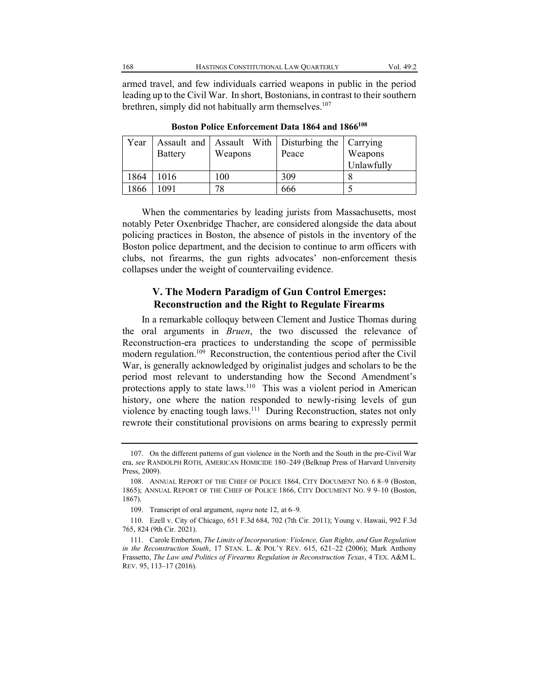armed travel, and few individuals carried weapons in public in the period leading up to the Civil War. In short, Bostonians, in contrast to their southern brethren, simply did not habitually arm themselves.<sup>107</sup>

| Year |                |         | Assault and Assault With Disturbing the Carrying |            |
|------|----------------|---------|--------------------------------------------------|------------|
|      | <b>Battery</b> | Weapons | Peace                                            | Weapons    |
|      |                |         |                                                  | Unlawfully |
| 1864 | 1016           | 100     | 309                                              |            |
| 1866 | 1091           | 78      | 666                                              |            |

Boston Police Enforcement Data 1864 and 1866<sup>108</sup>

When the commentaries by leading jurists from Massachusetts, most notably Peter Oxenbridge Thacher, are considered alongside the data about policing practices in Boston, the absence of pistols in the inventory of the Boston police department, and the decision to continue to arm officers with clubs, not firearms, the gun rights advocates' non-enforcement thesis collapses under the weight of countervailing evidence.

### **V. The Modern Paradigm of Gun Control Emerges: Reconstruction and the Right to Regulate Firearms**

In a remarkable colloquy between Clement and Justice Thomas during the oral arguments in *Bruen*, the two discussed the relevance of Reconstruction-era practices to understanding the scope of permissible modern regulation.<sup>109</sup> Reconstruction, the contentious period after the Civil War, is generally acknowledged by originalist judges and scholars to be the period most relevant to understanding how the Second Amendment's protections apply to state laws.<sup>110</sup> This was a violent period in American history, one where the nation responded to newly-rising levels of gun violence by enacting tough laws.<sup>111</sup> During Reconstruction, states not only rewrote their constitutional provisions on arms bearing to expressly permit

<sup>107.</sup> On the different patterns of gun violence in the North and the South in the pre-Civil War era, see RANDOLPH ROTH, AMERICAN HOMICIDE 180-249 (Belknap Press of Harvard University Press, 2009).

<sup>108.</sup> ANNUAL REPORT OF THE CHIEF OF POLICE 1864, CITY DOCUMENT NO. 6 8-9 (Boston, 1865); ANNUAL REPORT OF THE CHIEF OF POLICE 1866, CITY DOCUMENT NO. 9 9-10 (Boston, 1867).

<sup>109.</sup> Transcript of oral argument, *supra* note 12, at 6-9.

<sup>110.</sup> Ezell v. City of Chicago, 651 F.3d 684, 702 (7th Cir. 2011); Young v. Hawaii, 992 F.3d 765, 824 (9th Cir. 2021).

<sup>111.</sup> Carole Emberton, *The Limits of Incorporation: Violence, Gun Rights, and Gun Regulation in the Reconstruction South*, 17 STAN. L. & POL'Y REV. 615, 621-22 (2006); Mark Anthony Frassetto, *The Law and Politics of Firearms Regulation in Reconstruction Texas*, 4 TEX. A&M L. REV. 95, 113-17 (2016).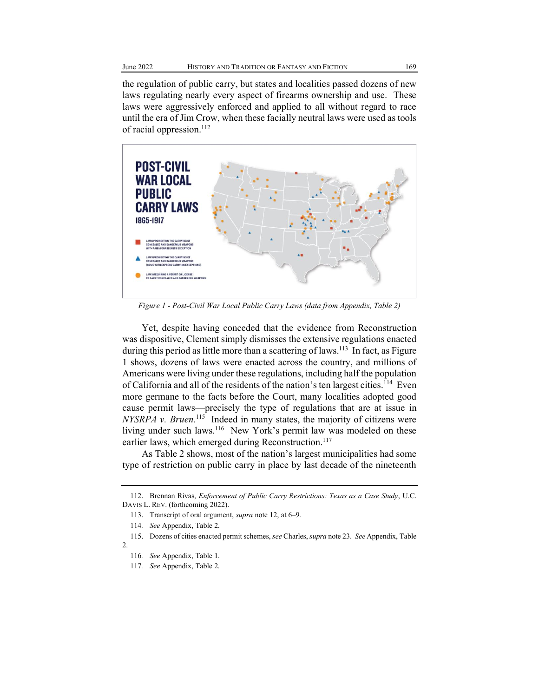the regulation of public carry, but states and localities passed dozens of new laws regulating nearly every aspect of firearms ownership and use. These laws were aggressively enforced and applied to all without regard to race until the era of Jim Crow, when these facially neutral laws were used as tools of racial oppression.<sup>112</sup>



*Figure 1 - Post-Civil War Local Public Carry Laws (data from Appendix, Table 2)*

Yet, despite having conceded that the evidence from Reconstruction was dispositive, Clement simply dismisses the extensive regulations enacted during this period as little more than a scattering of laws.<sup>113</sup> In fact, as Figure 1 shows, dozens of laws were enacted across the country, and millions of Americans were living under these regulations, including half the population of California and all of the residents of the nation's ten largest cities.<sup>114</sup> Even more germane to the facts before the Court, many localities adopted good cause permit laws—precisely the type of regulations that are at issue in *NYSRPA v. Bruen.*115 Indeed in many states, the majority of citizens were living under such laws.<sup>116</sup> New York's permit law was modeled on these earlier laws, which emerged during Reconstruction.<sup>117</sup>

As Table 2 shows, most of the nation's largest municipalities had some type of restriction on public carry in place by last decade of the nineteenth

<sup>112.</sup> Brennan Rivas, *Enforcement of Public Carry Restrictions: Texas as a Case Study*, U.C. DAVIS L. REV. (forthcoming 2022).

<sup>113.</sup> Transcript of oral argument, *supra* note 12, at 6-9.

<sup>114</sup>*. See* Appendix, Table 2.

<sup>115.</sup> Dozens of cities enacted permit schemes, *see* Charles, *supra* note 23. *See* Appendix, Table 2.

<sup>116</sup>*. See* Appendix, Table 1.

<sup>117</sup>*. See* Appendix, Table 2.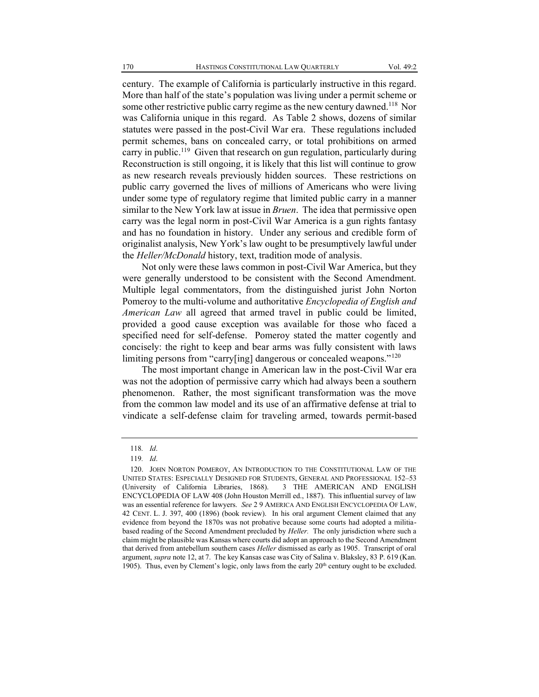century. The example of California is particularly instructive in this regard. More than half of the state's population was living under a permit scheme or some other restrictive public carry regime as the new century dawned.<sup>118</sup> Nor was California unique in this regard. As Table 2 shows, dozens of similar statutes were passed in the post-Civil War era. These regulations included permit schemes, bans on concealed carry, or total prohibitions on armed carry in public.<sup>119</sup> Given that research on gun regulation, particularly during Reconstruction is still ongoing, it is likely that this list will continue to grow as new research reveals previously hidden sources. These restrictions on public carry governed the lives of millions of Americans who were living under some type of regulatory regime that limited public carry in a manner similar to the New York law at issue in *Bruen*. The idea that permissive open carry was the legal norm in post-Civil War America is a gun rights fantasy and has no foundation in history. Under any serious and credible form of originalist analysis, New York's law ought to be presumptively lawful under the *Heller/McDonald* history, text, tradition mode of analysis.

Not only were these laws common in post-Civil War America, but they were generally understood to be consistent with the Second Amendment. Multiple legal commentators, from the distinguished jurist John Norton Pomeroy to the multi-volume and authoritative *Encyclopedia of English and American Law* all agreed that armed travel in public could be limited, provided a good cause exception was available for those who faced a specified need for self-defense. Pomeroy stated the matter cogently and concisely: the right to keep and bear arms was fully consistent with laws limiting persons from "carry[ing] dangerous or concealed weapons."<sup>120</sup>

The most important change in American law in the post-Civil War era was not the adoption of permissive carry which had always been a southern phenomenon. Rather, the most significant transformation was the move from the common law model and its use of an affirmative defense at trial to vindicate a self-defense claim for traveling armed, towards permit-based

<sup>118</sup>*. Id*.

<sup>119</sup>*. Id*.

<sup>120.</sup> JOHN NORTON POMEROY, AN INTRODUCTION TO THE CONSTITUTIONAL LAW OF THE UNITED STATES: ESPECIALLY DESIGNED FOR STUDENTS, GENERAL AND PROFESSIONAL 152-53 (University of California Libraries, 1868). 3 THE AMERICAN AND ENGLISH ENCYCLOPEDIA OF LAW 408 (John Houston Merrill ed., 1887). This influential survey of law was an essential reference for lawyers. *See* 2 9 AMERICA AND ENGLISH ENCYCLOPEDIA OF LAW, 42 CENT. L. J. 397, 400 (1896) (book review). In his oral argument Clement claimed that any evidence from beyond the 1870s was not probative because some courts had adopted a militiabased reading of the Second Amendment precluded by *Heller.* The only jurisdiction where such a claim might be plausible was Kansas where courts did adopt an approach to the Second Amendment that derived from antebellum southern cases *Heller* dismissed as early as 1905. Transcript of oral argument, *supra* note 12, at 7. The key Kansas case was City of Salina v. Blaksley, 83 P. 619 (Kan. 1905). Thus, even by Clement's logic, only laws from the early  $20<sup>th</sup>$  century ought to be excluded.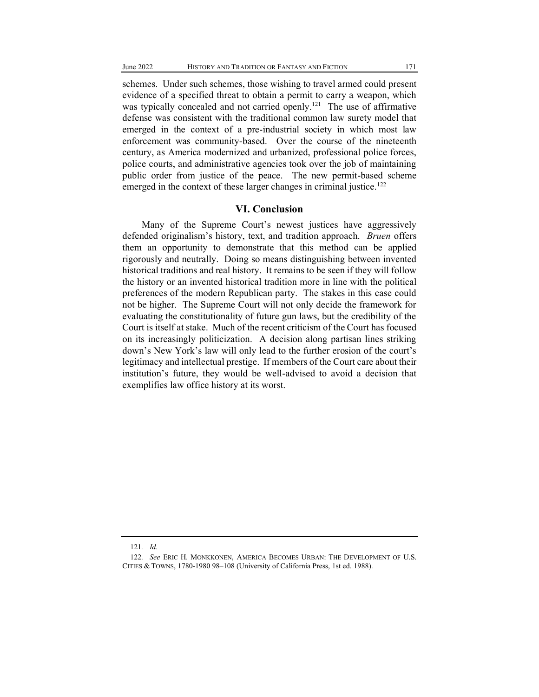schemes. Under such schemes, those wishing to travel armed could present evidence of a specified threat to obtain a permit to carry a weapon, which was typically concealed and not carried openly.<sup>121</sup> The use of affirmative defense was consistent with the traditional common law surety model that emerged in the context of a pre-industrial society in which most law enforcement was community-based. Over the course of the nineteenth century, as America modernized and urbanized, professional police forces, police courts, and administrative agencies took over the job of maintaining public order from justice of the peace. The new permit-based scheme emerged in the context of these larger changes in criminal justice.<sup>122</sup>

#### **VI. Conclusion**

Many of the Supreme Court's newest justices have aggressively defended originalism's history, text, and tradition approach. *Bruen* offers them an opportunity to demonstrate that this method can be applied rigorously and neutrally. Doing so means distinguishing between invented historical traditions and real history. It remains to be seen if they will follow the history or an invented historical tradition more in line with the political preferences of the modern Republican party. The stakes in this case could not be higher. The Supreme Court will not only decide the framework for evaluating the constitutionality of future gun laws, but the credibility of the Court is itself at stake. Much of the recent criticism of the Court has focused on its increasingly politicization. A decision along partisan lines striking down's New York's law will only lead to the further erosion of the court's legitimacy and intellectual prestige. If members of the Court care about their institution's future, they would be well-advised to avoid a decision that exemplifies law office history at its worst.

<sup>121</sup>*. Id.*

<sup>122</sup>*. See* ERIC H. MONKKONEN, AMERICA BECOMES URBAN: THE DEVELOPMENT OF U.S. CITIES & TOWNS, 1780-1980 98-108 (University of California Press, 1st ed. 1988).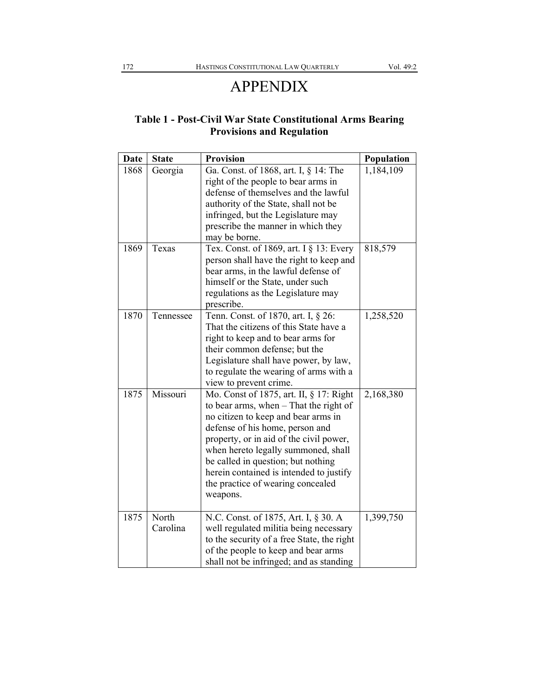## APPENDIX

### **Table 1 - Post-Civil War State Constitutional Arms Bearing Provisions and Regulation**

| <b>Date</b> | <b>State</b>      | <b>Provision</b>                                                                                                                                                                                                                                                                                                                                                                  | Population |
|-------------|-------------------|-----------------------------------------------------------------------------------------------------------------------------------------------------------------------------------------------------------------------------------------------------------------------------------------------------------------------------------------------------------------------------------|------------|
| 1868        | Georgia           | Ga. Const. of 1868, art. I, § 14: The<br>right of the people to bear arms in<br>defense of themselves and the lawful<br>authority of the State, shall not be<br>infringed, but the Legislature may<br>prescribe the manner in which they                                                                                                                                          | 1,184,109  |
|             |                   | may be borne.                                                                                                                                                                                                                                                                                                                                                                     |            |
| 1869        | Texas             | Tex. Const. of 1869, art. I § 13: Every<br>person shall have the right to keep and<br>bear arms, in the lawful defense of<br>himself or the State, under such<br>regulations as the Legislature may<br>prescribe.                                                                                                                                                                 | 818,579    |
| 1870        | Tennessee         | Tenn. Const. of 1870, art. I, § 26:<br>That the citizens of this State have a<br>right to keep and to bear arms for<br>their common defense; but the<br>Legislature shall have power, by law,<br>to regulate the wearing of arms with a<br>view to prevent crime.                                                                                                                 | 1,258,520  |
| 1875        | Missouri          | Mo. Const of 1875, art. II, § 17: Right<br>to bear arms, when $-$ That the right of<br>no citizen to keep and bear arms in<br>defense of his home, person and<br>property, or in aid of the civil power,<br>when hereto legally summoned, shall<br>be called in question; but nothing<br>herein contained is intended to justify<br>the practice of wearing concealed<br>weapons. | 2,168,380  |
| 1875        | North<br>Carolina | N.C. Const. of 1875, Art. I, § 30. A<br>well regulated militia being necessary<br>to the security of a free State, the right<br>of the people to keep and bear arms<br>shall not be infringed; and as standing                                                                                                                                                                    | 1,399,750  |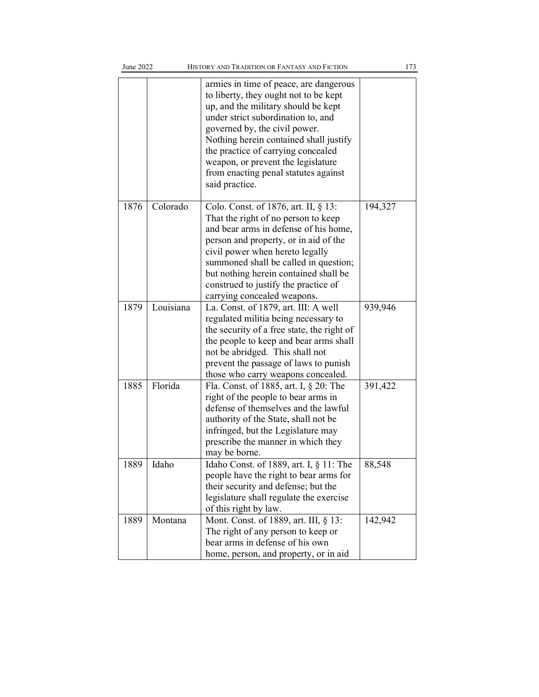| June 2022 |           | HISTORY AND TRADITION OR FANTASY AND FICTION                                                                                                                                                                                                                                                                                                                                  |         | 173 |
|-----------|-----------|-------------------------------------------------------------------------------------------------------------------------------------------------------------------------------------------------------------------------------------------------------------------------------------------------------------------------------------------------------------------------------|---------|-----|
|           |           | armies in time of peace, are dangerous<br>to liberty, they ought not to be kept<br>up, and the military should be kept<br>under strict subordination to, and<br>governed by, the civil power.<br>Nothing herein contained shall justify<br>the practice of carrying concealed<br>weapon, or prevent the legislature<br>from enacting penal statutes against<br>said practice. |         |     |
| 1876      | Colorado  | Colo. Const. of 1876, art. II, § 13:<br>That the right of no person to keep<br>and bear arms in defense of his home,<br>person and property, or in aid of the<br>civil power when hereto legally<br>summoned shall be called in question;<br>but nothing herein contained shall be<br>construed to justify the practice of<br>carrying concealed weapons.                     | 194,327 |     |
| 1879      | Louisiana | La. Const. of 1879, art. III: A well<br>regulated militia being necessary to<br>the security of a free state, the right of<br>the people to keep and bear arms shall<br>not be abridged. This shall not<br>prevent the passage of laws to punish<br>those who carry weapons concealed.                                                                                        | 939,946 |     |
| 1885      | Florida   | Fla. Const. of 1885, art. I, § 20: The<br>right of the people to bear arms in<br>defense of themselves and the lawful<br>authority of the State, shall not be<br>infringed, but the Legislature may<br>prescribe the manner in which they<br>may be borne.                                                                                                                    | 391,422 |     |
| 1889      | Idaho     | Idaho Const. of 1889, art. I, § 11: The<br>people have the right to bear arms for<br>their security and defense; but the<br>legislature shall regulate the exercise<br>of this right by law.                                                                                                                                                                                  | 88,548  |     |
| 1889      | Montana   | Mont. Const. of 1889, art. III, § 13:<br>The right of any person to keep or<br>bear arms in defense of his own<br>home, person, and property, or in aid                                                                                                                                                                                                                       | 142,942 |     |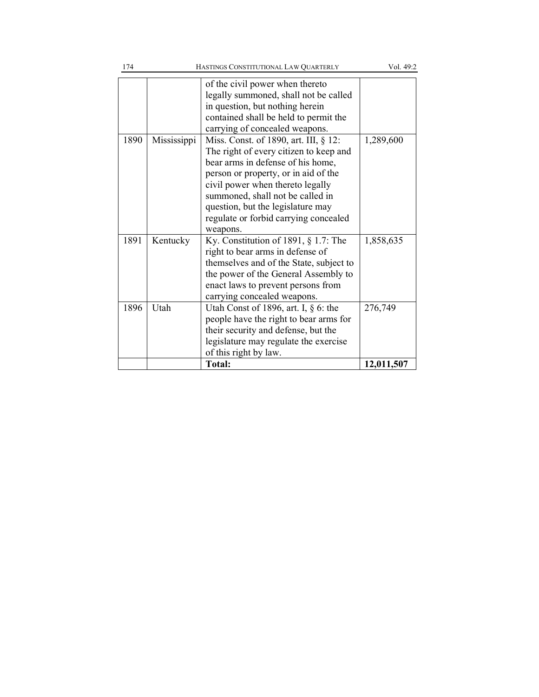| of the civil power when thereto<br>legally summoned, shall not be called<br>in question, but nothing herein<br>contained shall be held to permit the<br>carrying of concealed weapons.<br>Miss. Const. of 1890, art. III, § 12:<br>1890<br>Mississippi<br>The right of every citizen to keep and<br>bear arms in defense of his home,<br>person or property, or in aid of the<br>civil power when thereto legally<br>summoned, shall not be called in<br>question, but the legislature may<br>regulate or forbid carrying concealed<br>weapons.<br>1891<br>Kentucky<br>Ky. Constitution of 1891, $\S$ 1.7: The<br>right to bear arms in defense of<br>themselves and of the State, subject to<br>the power of the General Assembly to<br>enact laws to prevent persons from<br>carrying concealed weapons.<br>Utah Const of 1896, art. I, $\S$ 6: the<br>1896<br>Utah<br>people have the right to bear arms for<br>their security and defense, but the | 174 | HASTINGS CONSTITUTIONAL LAW QUARTERLY | Vol. 49:2             |
|--------------------------------------------------------------------------------------------------------------------------------------------------------------------------------------------------------------------------------------------------------------------------------------------------------------------------------------------------------------------------------------------------------------------------------------------------------------------------------------------------------------------------------------------------------------------------------------------------------------------------------------------------------------------------------------------------------------------------------------------------------------------------------------------------------------------------------------------------------------------------------------------------------------------------------------------------------|-----|---------------------------------------|-----------------------|
|                                                                                                                                                                                                                                                                                                                                                                                                                                                                                                                                                                                                                                                                                                                                                                                                                                                                                                                                                        |     |                                       |                       |
|                                                                                                                                                                                                                                                                                                                                                                                                                                                                                                                                                                                                                                                                                                                                                                                                                                                                                                                                                        |     |                                       | 1,289,600             |
|                                                                                                                                                                                                                                                                                                                                                                                                                                                                                                                                                                                                                                                                                                                                                                                                                                                                                                                                                        |     |                                       | 1,858,635             |
| legislature may regulate the exercise<br>of this right by law.<br><b>Total:</b>                                                                                                                                                                                                                                                                                                                                                                                                                                                                                                                                                                                                                                                                                                                                                                                                                                                                        |     |                                       | 276,749<br>12,011,507 |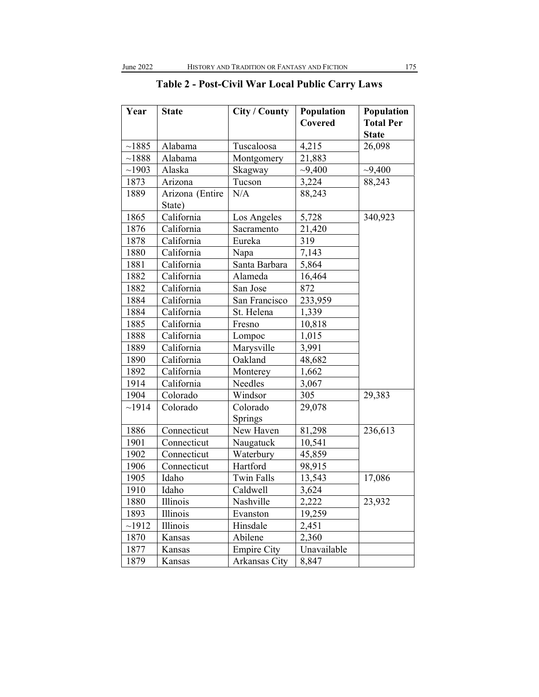| Year           | <b>State</b>    | City / County      | Population  | Population       |
|----------------|-----------------|--------------------|-------------|------------------|
|                |                 |                    | Covered     | <b>Total Per</b> |
|                |                 |                    |             | <b>State</b>     |
| ~1885          | Alabama         | Tuscaloosa         | 4,215       | 26,098           |
| $\sim\!\!1888$ | Alabama         | Montgomery         | 21,883      |                  |
| ~1903          | Alaska          | Skagway            | $-9,400$    | $-9,400$         |
| 1873           | Arizona         | Tucson             | 3,224       | 88,243           |
| 1889           | Arizona (Entire | N/A                | 88,243      |                  |
|                | State)          |                    |             |                  |
| 1865           | California      | Los Angeles        | 5,728       | 340,923          |
| 1876           | California      | Sacramento         | 21,420      |                  |
| 1878           | California      | Eureka             | 319         |                  |
| 1880           | California      | Napa               | 7,143       |                  |
| 1881           | California      | Santa Barbara      | 5,864       |                  |
| 1882           | California      | Alameda            | 16,464      |                  |
| 1882           | California      | San Jose           | 872         |                  |
| 1884           | California      | San Francisco      | 233,959     |                  |
| 1884           | California      | St. Helena         | 1,339       |                  |
| 1885           | California      | Fresno             | 10,818      |                  |
| 1888           | California      | Lompoc             | 1,015       |                  |
| 1889           | California      | Marysville         | 3,991       |                  |
| 1890           | California      | Oakland            | 48,682      |                  |
| 1892           | California      | Monterey           | 1,662       |                  |
| 1914           | California      | Needles            | 3,067       |                  |
| 1904           | Colorado        | Windsor            | 305         | 29,383           |
| ~1914          | Colorado        | Colorado           | 29,078      |                  |
|                |                 | Springs            |             |                  |
| 1886           | Connecticut     | New Haven          | 81,298      | 236,613          |
| 1901           | Connecticut     | Naugatuck          | 10,541      |                  |
| 1902           | Connecticut     | Waterbury          | 45,859      |                  |
| 1906           | Connecticut     | Hartford           | 98,915      |                  |
| 1905           | Idaho           | <b>Twin Falls</b>  | 13,543      | 17,086           |
| 1910           | Idaho           | Caldwell           | 3,624       |                  |
| 1880           | Illinois        | Nashville          | 2,222       | 23,932           |
| 1893           | Illinois        | Evanston           | 19,259      |                  |
| ~1912          | Illinois        | Hinsdale           | 2,451       |                  |
| 1870           | Kansas          | Abilene            | 2,360       |                  |
| 1877           | Kansas          | <b>Empire City</b> | Unavailable |                  |
| 1879           | Kansas          | Arkansas City      | 8,847       |                  |

## **Table 2 - Post-Civil War Local Public Carry Laws**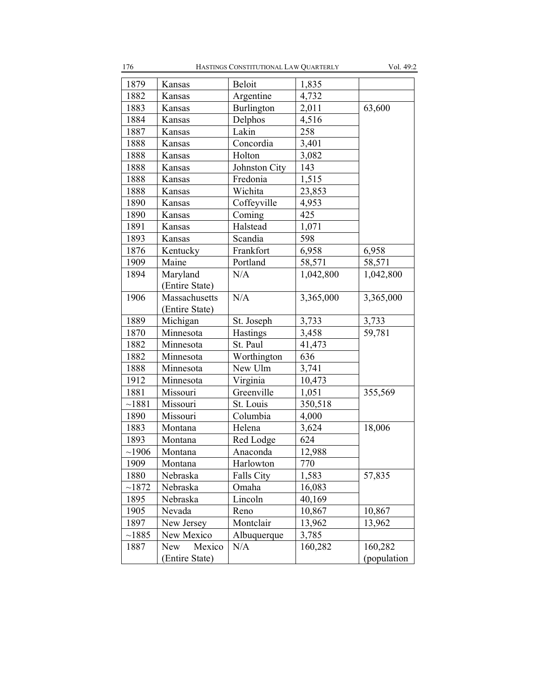| 1879  | Kansas               | Beloit            | 1,835     |             |
|-------|----------------------|-------------------|-----------|-------------|
| 1882  | Kansas               | Argentine         | 4,732     |             |
| 1883  | Kansas               | Burlington        | 2,011     | 63,600      |
| 1884  | Kansas               | Delphos           | 4,516     |             |
| 1887  | Kansas               | Lakin             | 258       |             |
| 1888  | Kansas               | Concordia         | 3,401     |             |
| 1888  | Kansas               | Holton            | 3,082     |             |
| 1888  | Kansas               | Johnston City     | 143       |             |
| 1888  | Kansas               | Fredonia          | 1,515     |             |
| 1888  | Kansas               | Wichita           | 23,853    |             |
| 1890  | Kansas               | Coffeyville       | 4,953     |             |
| 1890  | Kansas               | Coming            | 425       |             |
| 1891  | Kansas               | Halstead          | 1,071     |             |
| 1893  | Kansas               | Scandia           | 598       |             |
| 1876  | Kentucky             | Frankfort         | 6,958     | 6,958       |
| 1909  | Maine                | Portland          | 58,571    | 58,571      |
| 1894  | Maryland             | N/A               | 1,042,800 | 1,042,800   |
|       | (Entire State)       |                   |           |             |
| 1906  | Massachusetts        | N/A               | 3,365,000 | 3,365,000   |
|       | (Entire State)       |                   |           |             |
| 1889  | Michigan             | St. Joseph        | 3,733     | 3,733       |
| 1870  | Minnesota            | Hastings          | 3,458     | 59,781      |
| 1882  | Minnesota            | St. Paul          | 41,473    |             |
| 1882  | Minnesota            | Worthington       | 636       |             |
| 1888  | Minnesota            | New Ulm           | 3,741     |             |
| 1912  | Minnesota            | Virginia          | 10,473    |             |
| 1881  | Missouri             | Greenville        | 1,051     | 355,569     |
| ~1881 | Missouri             | St. Louis         | 350,518   |             |
| 1890  | Missouri             | Columbia          | 4,000     |             |
| 1883  | Montana              | Helena            | 3,624     | 18,006      |
| 1893  | Montana              | Red Lodge         | 624       |             |
| ~1906 | Montana              | Anaconda          | 12,988    |             |
| 1909  | Montana              | Harlowton         | 770       |             |
| 1880  | Nebraska             | <b>Falls City</b> | 1,583     | 57,835      |
| ~1872 | Nebraska             | Omaha             | 16,083    |             |
| 1895  | Nebraska             | Lincoln           | 40,169    |             |
| 1905  | Nevada               | Reno              | 10,867    | 10,867      |
| 1897  | New Jersey           | Montclair         | 13,962    | 13,962      |
| ~1885 | New Mexico           | Albuquerque       | 3,785     |             |
| 1887  | <b>New</b><br>Mexico | N/A               | 160,282   | 160,282     |
|       | (Entire State)       |                   |           | (population |